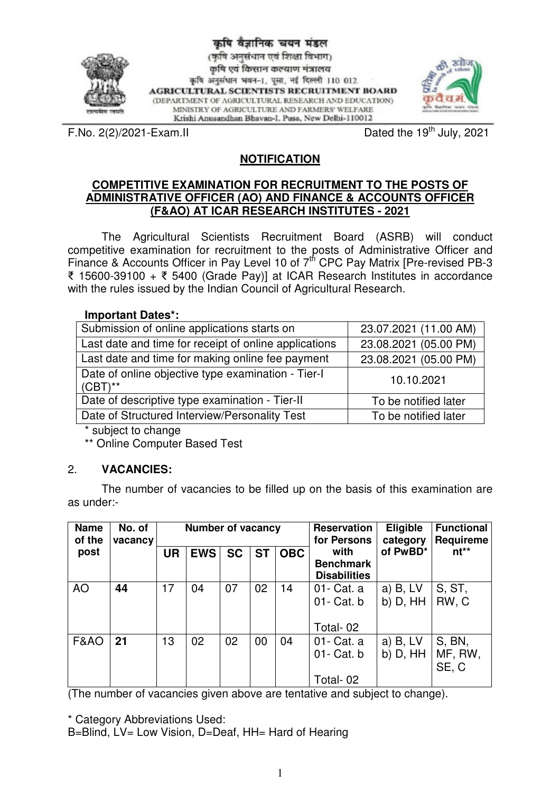

कृषि वैज्ञानिक चयन मंडल (कृषि अनुसंधान एवं शिक्षा विभाग) कृषि एवं किसान कल्याण मंत्रालय कृषि अनुसंधान भवन-1, पूसा, नई दिल्ली 110 012. **AGRICULTURAL SCIENTISTS RECRUITMENT BOARD** (DEPARTMENT OF AGRICULTURAL RESEARCH AND EDUCATION) MINISTRY OF AGRICULTURE AND FARMERS' WELFARE Krishi Anusandhan Bhavan-I, Pusa, New Delhi-110012



F.No. 2(2)/2021-Exam.II Dated the 19<sup>th</sup> July, 2021

# **NOTIFICATION**

#### **COMPETITIVE EXAMINATION FOR RECRUITMENT TO THE POSTS OF ADMINISTRATIVE OFFICER (AO) AND FINANCE & ACCOUNTS OFFICER (F&AO) AT ICAR RESEARCH INSTITUTES - 2021**

 The Agricultural Scientists Recruitment Board (ASRB) will conduct competitive examination for recruitment to the posts of Administrative Officer and Finance & Accounts Officer in Pay Level 10 of 7<sup>th</sup> CPC Pay Matrix [Pre-revised PB-3 15600-39100 + 5400 (Grade Pay)] at ICAR Research Institutes in accordance with the rules issued by the Indian Council of Agricultural Research.

**Important Dates\*:** 

| Submission of online applications starts on                        | 23.07.2021 (11.00 AM) |
|--------------------------------------------------------------------|-----------------------|
| Last date and time for receipt of online applications              | 23.08.2021 (05.00 PM) |
| Last date and time for making online fee payment                   | 23.08.2021 (05.00 PM) |
| Date of online objective type examination - Tier-I<br>$(CBT)^{**}$ | 10.10.2021            |
| Date of descriptive type examination - Tier-II                     | To be notified later  |
| Date of Structured Interview/Personality Test                      | To be notified later  |

\* subject to change

\*\* Online Computer Based Test

# 2. **VACANCIES:**

 The number of vacancies to be filled up on the basis of this examination are as under:-

| <b>Name</b><br>of the | No. of<br>vacancy |           | <b>Number of vacancy</b> |           |           |            | <b>Reservation</b><br>for Persons               | <b>Eligible</b><br>category |                            |
|-----------------------|-------------------|-----------|--------------------------|-----------|-----------|------------|-------------------------------------------------|-----------------------------|----------------------------|
| post                  |                   | <b>UR</b> | <b>EWS</b>               | <b>SC</b> | <b>ST</b> | <b>OBC</b> | with<br><b>Benchmark</b><br><b>Disabilities</b> | of PwBD*                    | $nt**$                     |
| <b>AO</b>             | 44                | 17        | 04                       | 07        | 02        | 14         | 01- Cat. a<br>01- Cat. b<br>Total-02            | $a)$ B, LV<br>$b)$ D, $HH$  | S, ST,<br>RW, C            |
| <b>F&amp;AO</b>       | 21                | 13        | 02                       | 02        | 00        | 04         | 01- Cat. a<br>01- Cat. b<br>Total-02            | $a)$ B, LV<br>$b)$ D, $HH$  | S, BN,<br>MF, RW,<br>SE, C |

(The number of vacancies given above are tentative and subject to change).

\* Category Abbreviations Used:

B=Blind, LV= Low Vision, D=Deaf, HH= Hard of Hearing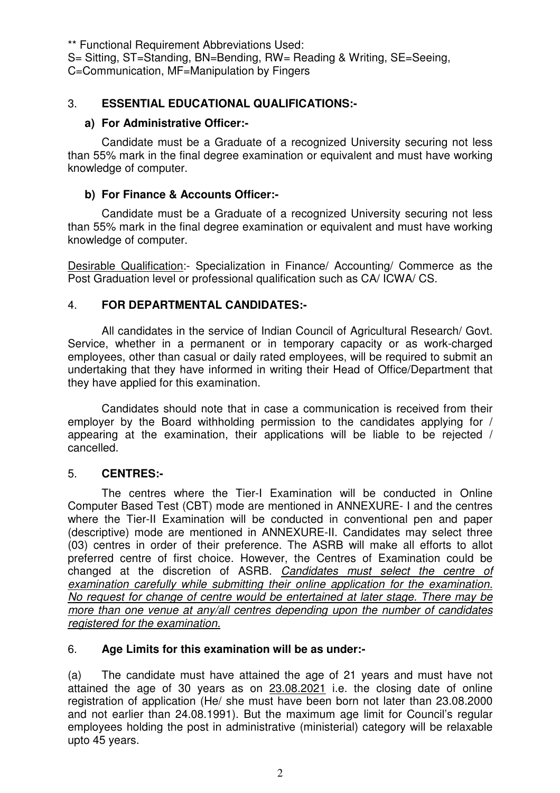\*\* Functional Requirement Abbreviations Used:

S= Sitting, ST=Standing, BN=Bending, RW= Reading & Writing, SE=Seeing,

C=Communication, MF=Manipulation by Fingers

# 3. **ESSENTIAL EDUCATIONAL QUALIFICATIONS:-**

## **a) For Administrative Officer:-**

 Candidate must be a Graduate of a recognized University securing not less than 55% mark in the final degree examination or equivalent and must have working knowledge of computer.

#### **b) For Finance & Accounts Officer:-**

 Candidate must be a Graduate of a recognized University securing not less than 55% mark in the final degree examination or equivalent and must have working knowledge of computer.

Desirable Qualification:- Specialization in Finance/ Accounting/ Commerce as the Post Graduation level or professional qualification such as CA/ ICWA/ CS.

#### 4. **FOR DEPARTMENTAL CANDIDATES:-**

 All candidates in the service of Indian Council of Agricultural Research/ Govt. Service, whether in a permanent or in temporary capacity or as work-charged employees, other than casual or daily rated employees, will be required to submit an undertaking that they have informed in writing their Head of Office/Department that they have applied for this examination.

 Candidates should note that in case a communication is received from their employer by the Board withholding permission to the candidates applying for / appearing at the examination, their applications will be liable to be rejected / cancelled.

#### 5. **CENTRES:-**

 The centres where the Tier-I Examination will be conducted in Online Computer Based Test (CBT) mode are mentioned in ANNEXURE- I and the centres where the Tier-II Examination will be conducted in conventional pen and paper (descriptive) mode are mentioned in ANNEXURE-II. Candidates may select three (03) centres in order of their preference. The ASRB will make all efforts to allot preferred centre of first choice. However, the Centres of Examination could be changed at the discretion of ASRB. Candidates must select the centre of examination carefully while submitting their online application for the examination. No request for change of centre would be entertained at later stage. There may be more than one venue at any/all centres depending upon the number of candidates registered for the examination.

#### 6. **Age Limits for this examination will be as under:-**

(a) The candidate must have attained the age of 21 years and must have not attained the age of 30 years as on 23.08.2021 i.e. the closing date of online registration of application (He/ she must have been born not later than 23.08.2000 and not earlier than 24.08.1991). But the maximum age limit for Council's regular employees holding the post in administrative (ministerial) category will be relaxable upto 45 years.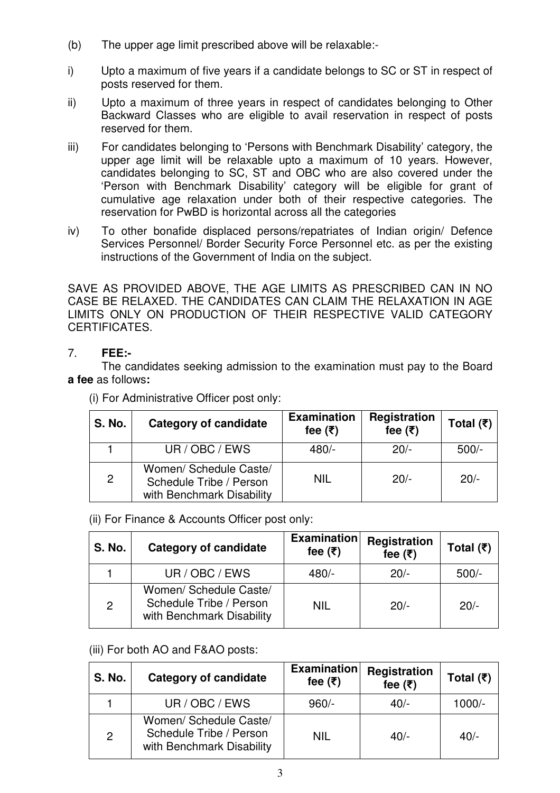- (b) The upper age limit prescribed above will be relaxable:-
- i) Upto a maximum of five years if a candidate belongs to SC or ST in respect of posts reserved for them.
- ii) Upto a maximum of three years in respect of candidates belonging to Other Backward Classes who are eligible to avail reservation in respect of posts reserved for them.
- iii) For candidates belonging to 'Persons with Benchmark Disability' category, the upper age limit will be relaxable upto a maximum of 10 years. However, candidates belonging to SC, ST and OBC who are also covered under the 'Person with Benchmark Disability' category will be eligible for grant of cumulative age relaxation under both of their respective categories. The reservation for PwBD is horizontal across all the categories
- iv) To other bonafide displaced persons/repatriates of Indian origin/ Defence Services Personnel/ Border Security Force Personnel etc. as per the existing instructions of the Government of India on the subject.

SAVE AS PROVIDED ABOVE, THE AGE LIMITS AS PRESCRIBED CAN IN NO CASE BE RELAXED. THE CANDIDATES CAN CLAIM THE RELAXATION IN AGE LIMITS ONLY ON PRODUCTION OF THEIR RESPECTIVE VALID CATEGORY CERTIFICATES.

# 7. **FEE:-**

 The candidates seeking admission to the examination must pay to the Board **a fee** as follows**:** 

| <b>S. No.</b>  | <b>Category of candidate</b>                                                   | <b>Examination</b><br>fee $(\bar{\tau})$ | Registration<br>fee $(\bar{\tau})$ | Total $(\bar{\tau})$ |
|----------------|--------------------------------------------------------------------------------|------------------------------------------|------------------------------------|----------------------|
|                | UR / OBC / EWS                                                                 | $480/-$                                  | $20/-$                             | $500/-$              |
| $\overline{2}$ | Women/ Schedule Caste/<br>Schedule Tribe / Person<br>with Benchmark Disability | NIL                                      | $20/-$                             | $20/-$               |

(i) For Administrative Officer post only:

(ii) For Finance & Accounts Officer post only:

| <b>S. No.</b> | <b>Category of candidate</b>                                                   | <b>Examination</b><br>fee $(\bar{\tau})$ | Registration<br>fee $(\overline{\tau})$ | Total $(\bar{\tau})$ |
|---------------|--------------------------------------------------------------------------------|------------------------------------------|-----------------------------------------|----------------------|
|               | UR / OBC / EWS                                                                 | $480/-$                                  | $20/-$                                  | $500/-$              |
| 2             | Women/ Schedule Caste/<br>Schedule Tribe / Person<br>with Benchmark Disability | NIL                                      | $20/-$                                  | $20/-$               |

# (iii) For both AO and F&AO posts:

| <b>S. No.</b> | <b>Category of candidate</b>                                                   | <b>Examination</b><br>fee $(\bar{\tau})$ | Registration<br>fee $(\overline{\tau})$ | Total $(\bar{\tau})$ |
|---------------|--------------------------------------------------------------------------------|------------------------------------------|-----------------------------------------|----------------------|
|               | UR / OBC / EWS                                                                 | $960/-$                                  | $40/-$                                  | $1000/-$             |
| $\mathcal{P}$ | Women/ Schedule Caste/<br>Schedule Tribe / Person<br>with Benchmark Disability | NIL                                      | $40/-$                                  | $40/-$               |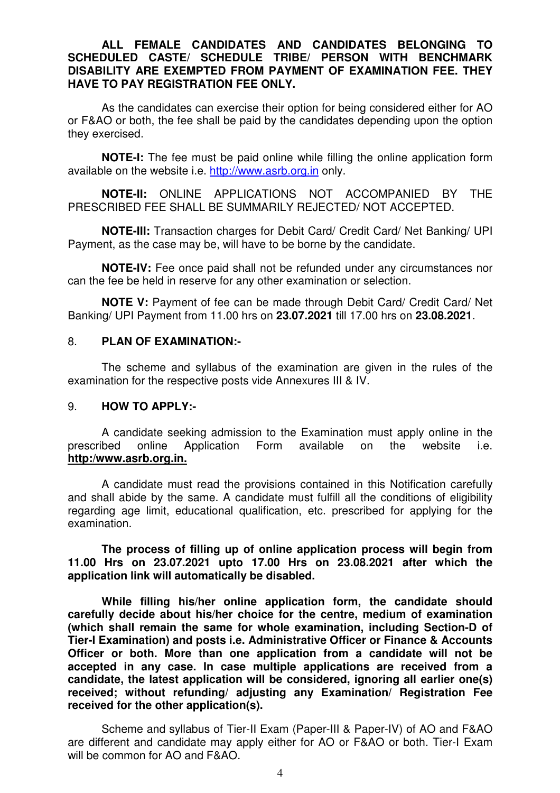#### **ALL FEMALE CANDIDATES AND CANDIDATES BELONGING TO SCHEDULED CASTE/ SCHEDULE TRIBE/ PERSON WITH BENCHMARK DISABILITY ARE EXEMPTED FROM PAYMENT OF EXAMINATION FEE. THEY HAVE TO PAY REGISTRATION FEE ONLY.**

As the candidates can exercise their option for being considered either for AO or F&AO or both, the fee shall be paid by the candidates depending upon the option they exercised.

**NOTE-I:** The fee must be paid online while filling the online application form available on the website i.e. http://www.asrb.org.in only.

**NOTE-II:** ONLINE APPLICATIONS NOT ACCOMPANIED BY THE PRESCRIBED FEE SHALL BE SUMMARILY REJECTED/ NOT ACCEPTED.

**NOTE-III:** Transaction charges for Debit Card/ Credit Card/ Net Banking/ UPI Payment, as the case may be, will have to be borne by the candidate.

**NOTE-IV:** Fee once paid shall not be refunded under any circumstances nor can the fee be held in reserve for any other examination or selection.

**NOTE V:** Payment of fee can be made through Debit Card/ Credit Card/ Net Banking/ UPI Payment from 11.00 hrs on **23.07.2021** till 17.00 hrs on **23.08.2021**.

#### 8. **PLAN OF EXAMINATION:-**

 The scheme and syllabus of the examination are given in the rules of the examination for the respective posts vide Annexures III & IV.

#### 9. **HOW TO APPLY:-**

A candidate seeking admission to the Examination must apply online in the prescribed online Application Form available on the website i.e. **http:/www.asrb.org.in.**

A candidate must read the provisions contained in this Notification carefully and shall abide by the same. A candidate must fulfill all the conditions of eligibility regarding age limit, educational qualification, etc. prescribed for applying for the examination.

**The process of filling up of online application process will begin from 11.00 Hrs on 23.07.2021 upto 17.00 Hrs on 23.08.2021 after which the application link will automatically be disabled.** 

**While filling his/her online application form, the candidate should carefully decide about his/her choice for the centre, medium of examination (which shall remain the same for whole examination, including Section-D of Tier-I Examination) and posts i.e. Administrative Officer or Finance & Accounts Officer or both. More than one application from a candidate will not be accepted in any case. In case multiple applications are received from a candidate, the latest application will be considered, ignoring all earlier one(s) received; without refunding/ adjusting any Examination/ Registration Fee received for the other application(s).** 

Scheme and syllabus of Tier-II Exam (Paper-III & Paper-IV) of AO and F&AO are different and candidate may apply either for AO or F&AO or both. Tier-I Exam will be common for AO and F&AO.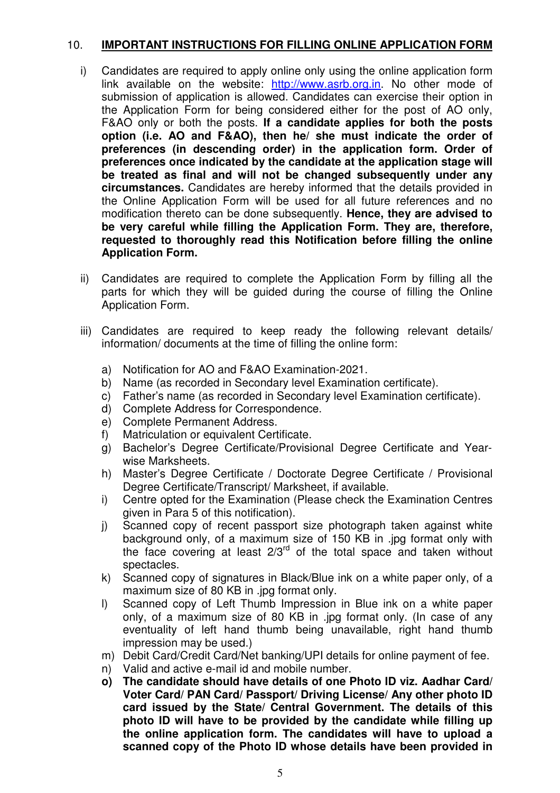#### 10. **IMPORTANT INSTRUCTIONS FOR FILLING ONLINE APPLICATION FORM**

- i) Candidates are required to apply online only using the online application form link available on the website: http://www.asrb.org.in. No other mode of submission of application is allowed. Candidates can exercise their option in the Application Form for being considered either for the post of AO only, F&AO only or both the posts. **If a candidate applies for both the posts option (i.e. AO and F&AO), then he/ she must indicate the order of preferences (in descending order) in the application form. Order of preferences once indicated by the candidate at the application stage will be treated as final and will not be changed subsequently under any circumstances.** Candidates are hereby informed that the details provided in the Online Application Form will be used for all future references and no modification thereto can be done subsequently. **Hence, they are advised to be very careful while filling the Application Form. They are, therefore, requested to thoroughly read this Notification before filling the online Application Form.**
- ii) Candidates are required to complete the Application Form by filling all the parts for which they will be guided during the course of filling the Online Application Form.
- iii) Candidates are required to keep ready the following relevant details/ information/ documents at the time of filling the online form:
	- a) Notification for AO and F&AO Examination-2021.
	- b) Name (as recorded in Secondary level Examination certificate).
	- c) Father's name (as recorded in Secondary level Examination certificate).
	- d) Complete Address for Correspondence.
	- e) Complete Permanent Address.
	- f) Matriculation or equivalent Certificate.
	- g) Bachelor's Degree Certificate/Provisional Degree Certificate and Yearwise Marksheets.
	- h) Master's Degree Certificate / Doctorate Degree Certificate / Provisional Degree Certificate/Transcript/ Marksheet, if available.
	- i) Centre opted for the Examination (Please check the Examination Centres given in Para 5 of this notification).
	- j) Scanned copy of recent passport size photograph taken against white background only, of a maximum size of 150 KB in .jpg format only with the face covering at least  $2/3^{rd}$  of the total space and taken without spectacles.
	- k) Scanned copy of signatures in Black/Blue ink on a white paper only, of a maximum size of 80 KB in .jpg format only.
	- l) Scanned copy of Left Thumb Impression in Blue ink on a white paper only, of a maximum size of 80 KB in .jpg format only. (In case of any eventuality of left hand thumb being unavailable, right hand thumb impression may be used.)
	- m) Debit Card/Credit Card/Net banking/UPI details for online payment of fee.
	- n) Valid and active e-mail id and mobile number.
	- **o) The candidate should have details of one Photo ID viz. Aadhar Card/ Voter Card/ PAN Card/ Passport/ Driving License/ Any other photo ID card issued by the State/ Central Government. The details of this photo ID will have to be provided by the candidate while filling up the online application form. The candidates will have to upload a scanned copy of the Photo ID whose details have been provided in**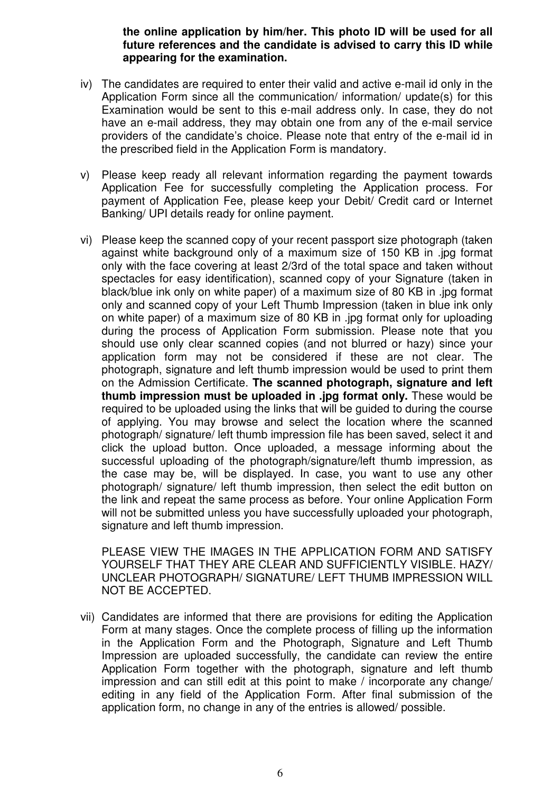**the online application by him/her. This photo ID will be used for all future references and the candidate is advised to carry this ID while appearing for the examination.** 

- iv) The candidates are required to enter their valid and active e-mail id only in the Application Form since all the communication/ information/ update(s) for this Examination would be sent to this e-mail address only. In case, they do not have an e-mail address, they may obtain one from any of the e-mail service providers of the candidate's choice. Please note that entry of the e-mail id in the prescribed field in the Application Form is mandatory.
- v) Please keep ready all relevant information regarding the payment towards Application Fee for successfully completing the Application process. For payment of Application Fee, please keep your Debit/ Credit card or Internet Banking/ UPI details ready for online payment.
- vi) Please keep the scanned copy of your recent passport size photograph (taken against white background only of a maximum size of 150 KB in .jpg format only with the face covering at least 2/3rd of the total space and taken without spectacles for easy identification), scanned copy of your Signature (taken in black/blue ink only on white paper) of a maximum size of 80 KB in .jpg format only and scanned copy of your Left Thumb Impression (taken in blue ink only on white paper) of a maximum size of 80 KB in .jpg format only for uploading during the process of Application Form submission. Please note that you should use only clear scanned copies (and not blurred or hazy) since your application form may not be considered if these are not clear. The photograph, signature and left thumb impression would be used to print them on the Admission Certificate. **The scanned photograph, signature and left thumb impression must be uploaded in .jpg format only.** These would be required to be uploaded using the links that will be guided to during the course of applying. You may browse and select the location where the scanned photograph/ signature/ left thumb impression file has been saved, select it and click the upload button. Once uploaded, a message informing about the successful uploading of the photograph/signature/left thumb impression, as the case may be, will be displayed. In case, you want to use any other photograph/ signature/ left thumb impression, then select the edit button on the link and repeat the same process as before. Your online Application Form will not be submitted unless you have successfully uploaded your photograph, signature and left thumb impression.

 PLEASE VIEW THE IMAGES IN THE APPLICATION FORM AND SATISFY YOURSELF THAT THEY ARE CLEAR AND SUFFICIENTLY VISIBLE. HAZY/ UNCLEAR PHOTOGRAPH/ SIGNATURE/ LEFT THUMB IMPRESSION WILL NOT BE ACCEPTED.

vii) Candidates are informed that there are provisions for editing the Application Form at many stages. Once the complete process of filling up the information in the Application Form and the Photograph, Signature and Left Thumb Impression are uploaded successfully, the candidate can review the entire Application Form together with the photograph, signature and left thumb impression and can still edit at this point to make / incorporate any change/ editing in any field of the Application Form. After final submission of the application form, no change in any of the entries is allowed/ possible.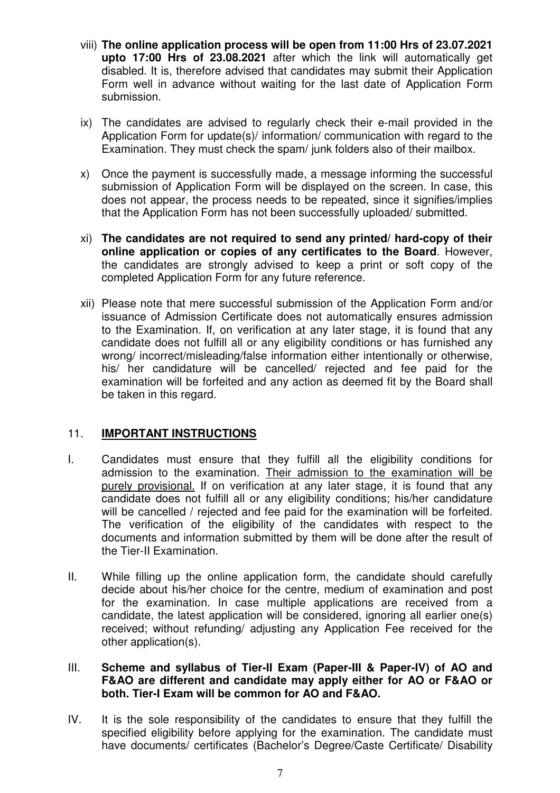- viii) **The online application process will be open from 11:00 Hrs of 23.07.2021 upto 17:00 Hrs of 23.08.2021** after which the link will automatically get disabled. It is, therefore advised that candidates may submit their Application Form well in advance without waiting for the last date of Application Form submission.
- ix) The candidates are advised to regularly check their e-mail provided in the Application Form for update(s)/ information/ communication with regard to the Examination. They must check the spam/ junk folders also of their mailbox.
- x) Once the payment is successfully made, a message informing the successful submission of Application Form will be displayed on the screen. In case, this does not appear, the process needs to be repeated, since it signifies/implies that the Application Form has not been successfully uploaded/ submitted.
- xi) **The candidates are not required to send any printed/ hard-copy of their online application or copies of any certificates to the Board**. However, the candidates are strongly advised to keep a print or soft copy of the completed Application Form for any future reference.
- xii) Please note that mere successful submission of the Application Form and/or issuance of Admission Certificate does not automatically ensures admission to the Examination. If, on verification at any later stage, it is found that any candidate does not fulfill all or any eligibility conditions or has furnished any wrong/ incorrect/misleading/false information either intentionally or otherwise, his/ her candidature will be cancelled/ rejected and fee paid for the examination will be forfeited and any action as deemed fit by the Board shall be taken in this regard.

#### 11. **IMPORTANT INSTRUCTIONS**

- I. Candidates must ensure that they fulfill all the eligibility conditions for admission to the examination. Their admission to the examination will be purely provisional. If on verification at any later stage, it is found that any candidate does not fulfill all or any eligibility conditions; his/her candidature will be cancelled / rejected and fee paid for the examination will be forfeited. The verification of the eligibility of the candidates with respect to the documents and information submitted by them will be done after the result of the Tier-II Examination.
- II. While filling up the online application form, the candidate should carefully decide about his/her choice for the centre, medium of examination and post for the examination. In case multiple applications are received from a candidate, the latest application will be considered, ignoring all earlier one(s) received; without refunding/ adjusting any Application Fee received for the other application(s).

#### III. **Scheme and syllabus of Tier-II Exam (Paper-III & Paper-IV) of AO and F&AO are different and candidate may apply either for AO or F&AO or both. Tier-I Exam will be common for AO and F&AO.**

IV. It is the sole responsibility of the candidates to ensure that they fulfill the specified eligibility before applying for the examination. The candidate must have documents/ certificates (Bachelor's Degree/Caste Certificate/ Disability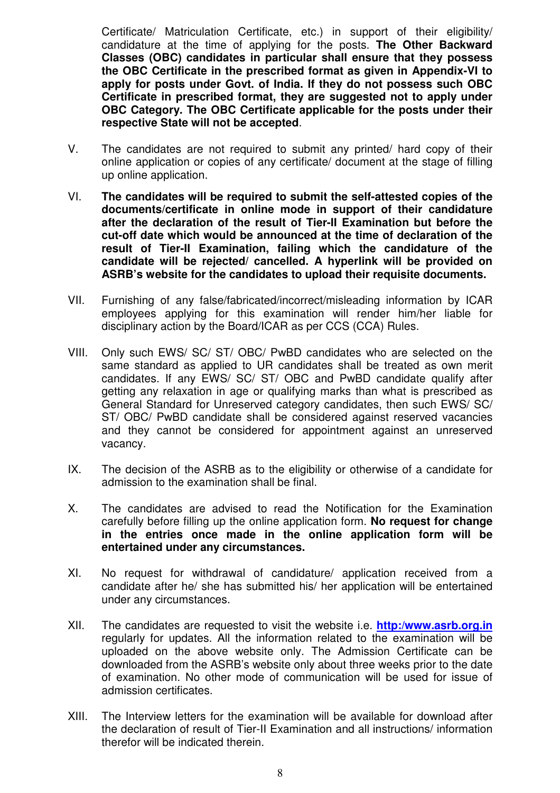Certificate/ Matriculation Certificate, etc.) in support of their eligibility/ candidature at the time of applying for the posts. **The Other Backward Classes (OBC) candidates in particular shall ensure that they possess the OBC Certificate in the prescribed format as given in Appendix-VI to apply for posts under Govt. of India. If they do not possess such OBC Certificate in prescribed format, they are suggested not to apply under OBC Category. The OBC Certificate applicable for the posts under their respective State will not be accepted**.

- V. The candidates are not required to submit any printed/ hard copy of their online application or copies of any certificate/ document at the stage of filling up online application.
- VI. **The candidates will be required to submit the self-attested copies of the documents/certificate in online mode in support of their candidature after the declaration of the result of Tier-II Examination but before the cut-off date which would be announced at the time of declaration of the result of Tier-II Examination, failing which the candidature of the candidate will be rejected/ cancelled. A hyperlink will be provided on ASRB's website for the candidates to upload their requisite documents.**
- VII. Furnishing of any false/fabricated/incorrect/misleading information by ICAR employees applying for this examination will render him/her liable for disciplinary action by the Board/ICAR as per CCS (CCA) Rules.
- VIII. Only such EWS/ SC/ ST/ OBC/ PwBD candidates who are selected on the same standard as applied to UR candidates shall be treated as own merit candidates. If any EWS/ SC/ ST/ OBC and PwBD candidate qualify after getting any relaxation in age or qualifying marks than what is prescribed as General Standard for Unreserved category candidates, then such EWS/ SC/ ST/ OBC/ PwBD candidate shall be considered against reserved vacancies and they cannot be considered for appointment against an unreserved vacancy.
- IX. The decision of the ASRB as to the eligibility or otherwise of a candidate for admission to the examination shall be final.
- X. The candidates are advised to read the Notification for the Examination carefully before filling up the online application form. **No request for change in the entries once made in the online application form will be entertained under any circumstances.**
- XI. No request for withdrawal of candidature/ application received from a candidate after he/ she has submitted his/ her application will be entertained under any circumstances.
- XII. The candidates are requested to visit the website i.e. **http:/www.asrb.org.in** regularly for updates. All the information related to the examination will be uploaded on the above website only. The Admission Certificate can be downloaded from the ASRB's website only about three weeks prior to the date of examination. No other mode of communication will be used for issue of admission certificates.
- XIII. The Interview letters for the examination will be available for download after the declaration of result of Tier-II Examination and all instructions/ information therefor will be indicated therein.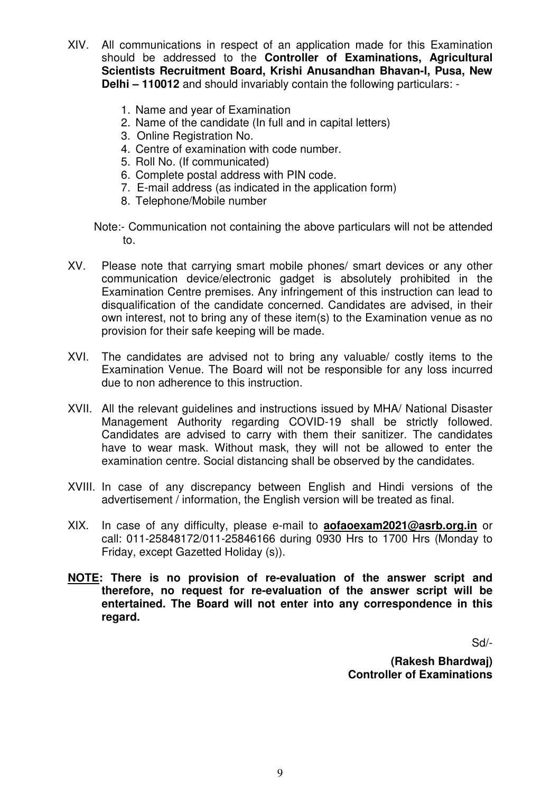- XIV. All communications in respect of an application made for this Examination should be addressed to the **Controller of Examinations, Agricultural Scientists Recruitment Board, Krishi Anusandhan Bhavan-I, Pusa, New Delhi – 110012** and should invariably contain the following particulars: -
	- 1. Name and year of Examination
	- 2. Name of the candidate (In full and in capital letters)
	- 3. Online Registration No.
	- 4. Centre of examination with code number.
	- 5. Roll No. (If communicated)
	- 6. Complete postal address with PIN code.
	- 7. E-mail address (as indicated in the application form)
	- 8. Telephone/Mobile number
	- Note:- Communication not containing the above particulars will not be attended to.
- XV. Please note that carrying smart mobile phones/ smart devices or any other communication device/electronic gadget is absolutely prohibited in the Examination Centre premises. Any infringement of this instruction can lead to disqualification of the candidate concerned. Candidates are advised, in their own interest, not to bring any of these item(s) to the Examination venue as no provision for their safe keeping will be made.
- XVI. The candidates are advised not to bring any valuable/ costly items to the Examination Venue. The Board will not be responsible for any loss incurred due to non adherence to this instruction.
- XVII. All the relevant guidelines and instructions issued by MHA/ National Disaster Management Authority regarding COVID-19 shall be strictly followed. Candidates are advised to carry with them their sanitizer. The candidates have to wear mask. Without mask, they will not be allowed to enter the examination centre. Social distancing shall be observed by the candidates.
- XVIII. In case of any discrepancy between English and Hindi versions of the advertisement / information, the English version will be treated as final.
- XIX. In case of any difficulty, please e-mail to **aofaoexam2021@asrb.org.in** or call: 011-25848172/011-25846166 during 0930 Hrs to 1700 Hrs (Monday to Friday, except Gazetted Holiday (s)).
- **NOTE: There is no provision of re-evaluation of the answer script and therefore, no request for re-evaluation of the answer script will be entertained. The Board will not enter into any correspondence in this regard.**

Sd/-

**(Rakesh Bhardwaj) Controller of Examinations**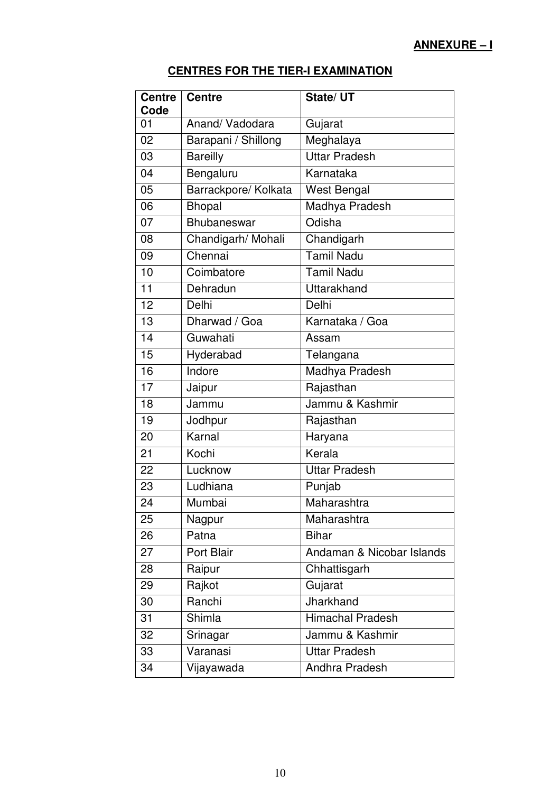# **ANNEXURE – I**

# **CENTRES FOR THE TIER-I EXAMINATION**

| <b>Centre</b><br>Code | <b>Centre</b>        | State/UT                  |
|-----------------------|----------------------|---------------------------|
| 01                    | Anand/Vadodara       | Gujarat                   |
| 02                    | Barapani / Shillong  | Meghalaya                 |
| 03                    | <b>Bareilly</b>      | <b>Uttar Pradesh</b>      |
| 04                    | Bengaluru            | Karnataka                 |
| 05                    | Barrackpore/ Kolkata | <b>West Bengal</b>        |
| 06                    | <b>Bhopal</b>        | Madhya Pradesh            |
| 07                    | Bhubaneswar          | Odisha                    |
| 08                    | Chandigarh/ Mohali   | Chandigarh                |
| 09                    | Chennai              | <b>Tamil Nadu</b>         |
| 10                    | Coimbatore           | <b>Tamil Nadu</b>         |
| 11                    | Dehradun             | Uttarakhand               |
| 12                    | Delhi                | Delhi                     |
| 13                    | Dharwad / Goa        | Karnataka / Goa           |
| 14                    | Guwahati             | Assam                     |
| 15                    | Hyderabad            | Telangana                 |
| 16                    | Indore               | Madhya Pradesh            |
| 17                    | Jaipur               | Rajasthan                 |
| 18                    | Jammu                | Jammu & Kashmir           |
| 19                    | Jodhpur              | Rajasthan                 |
| 20                    | Karnal               | Haryana                   |
| 21                    | Kochi                | Kerala                    |
| 22                    | Lucknow              | <b>Uttar Pradesh</b>      |
| 23                    | Ludhiana             | Punjab                    |
| 24                    | Mumbai               | Maharashtra               |
| 25                    | Nagpur               | Maharashtra               |
| 26                    | Patna                | <b>Bihar</b>              |
| 27                    | Port Blair           | Andaman & Nicobar Islands |
| 28                    | Raipur               | Chhattisgarh              |
| 29                    | Rajkot               | Gujarat                   |
| 30                    | Ranchi               | Jharkhand                 |
| 31                    | <b>Shimla</b>        | <b>Himachal Pradesh</b>   |
| 32                    | Srinagar             | Jammu & Kashmir           |
| 33                    | Varanasi             | <b>Uttar Pradesh</b>      |
| 34                    | Vijayawada           | Andhra Pradesh            |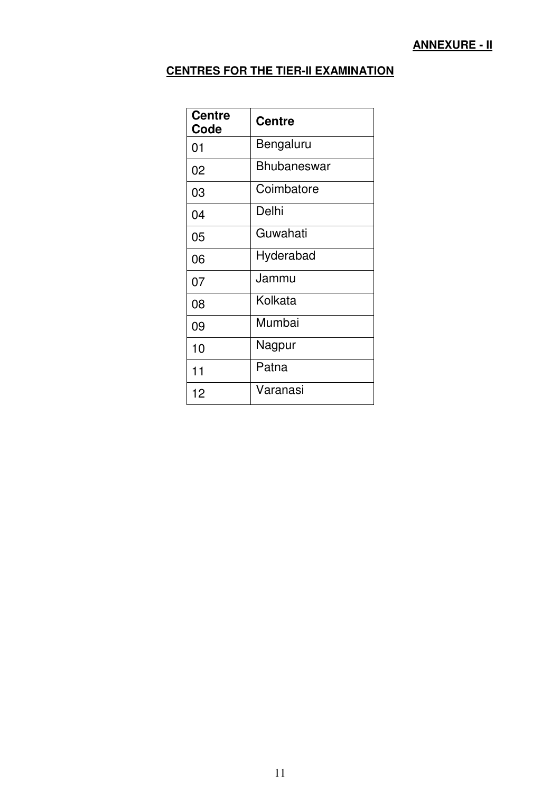# **CENTRES FOR THE TIER-II EXAMINATION**

| <b>Centre</b><br>Code | <b>Centre</b>      |
|-----------------------|--------------------|
| 01                    | Bengaluru          |
| 02                    | <b>Bhubaneswar</b> |
| 03                    | Coimbatore         |
| 04                    | Delhi              |
| 05                    | Guwahati           |
| 06                    | Hyderabad          |
| 07                    | Jammu              |
| 08                    | Kolkata            |
| 09                    | Mumbai             |
| 10                    | Nagpur             |
| 11                    | Patna              |
| 12                    | Varanasi           |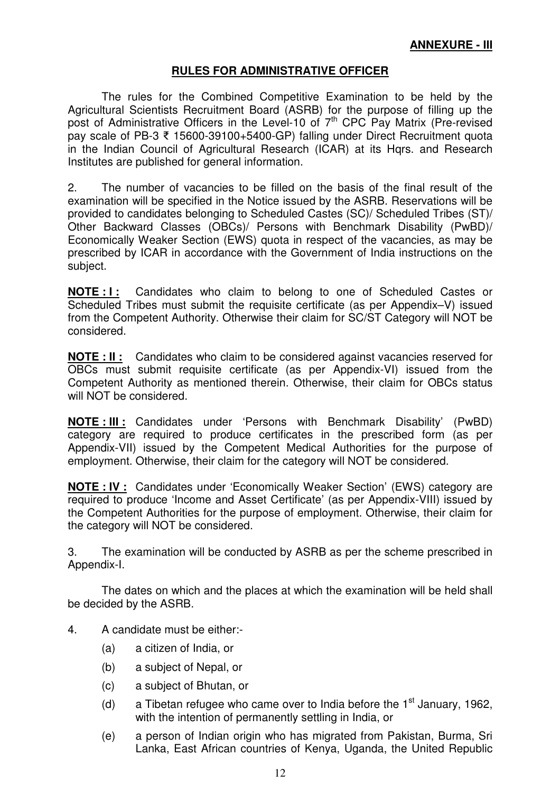## **RULES FOR ADMINISTRATIVE OFFICER**

 The rules for the Combined Competitive Examination to be held by the Agricultural Scientists Recruitment Board (ASRB) for the purpose of filling up the post of Administrative Officers in the Level-10 of 7<sup>th</sup> CPC Pay Matrix (Pre-revised pay scale of PB-3 15600-39100+5400-GP) falling under Direct Recruitment quota in the Indian Council of Agricultural Research (ICAR) at its Hqrs. and Research Institutes are published for general information.

2. The number of vacancies to be filled on the basis of the final result of the examination will be specified in the Notice issued by the ASRB. Reservations will be provided to candidates belonging to Scheduled Castes (SC)/ Scheduled Tribes (ST)/ Other Backward Classes (OBCs)/ Persons with Benchmark Disability (PwBD)/ Economically Weaker Section (EWS) quota in respect of the vacancies, as may be prescribed by ICAR in accordance with the Government of India instructions on the subject.

**NOTE : I :** Candidates who claim to belong to one of Scheduled Castes or Scheduled Tribes must submit the requisite certificate (as per Appendix–V) issued from the Competent Authority. Otherwise their claim for SC/ST Category will NOT be considered.

**NOTE : II :** Candidates who claim to be considered against vacancies reserved for OBCs must submit requisite certificate (as per Appendix-VI) issued from the Competent Authority as mentioned therein. Otherwise, their claim for OBCs status will NOT be considered.

**NOTE : III :** Candidates under 'Persons with Benchmark Disability' (PwBD) category are required to produce certificates in the prescribed form (as per Appendix-VII) issued by the Competent Medical Authorities for the purpose of employment. Otherwise, their claim for the category will NOT be considered.

**NOTE : IV :** Candidates under 'Economically Weaker Section' (EWS) category are required to produce 'Income and Asset Certificate' (as per Appendix-VIII) issued by the Competent Authorities for the purpose of employment. Otherwise, their claim for the category will NOT be considered.

3. The examination will be conducted by ASRB as per the scheme prescribed in Appendix-I.

 The dates on which and the places at which the examination will be held shall be decided by the ASRB.

- 4. A candidate must be either:-
	- (a) a citizen of India, or
	- (b) a subject of Nepal, or
	- (c) a subject of Bhutan, or
	- (d) a Tibetan refugee who came over to India before the  $1<sup>st</sup>$  January, 1962, with the intention of permanently settling in India, or
	- (e) a person of Indian origin who has migrated from Pakistan, Burma, Sri Lanka, East African countries of Kenya, Uganda, the United Republic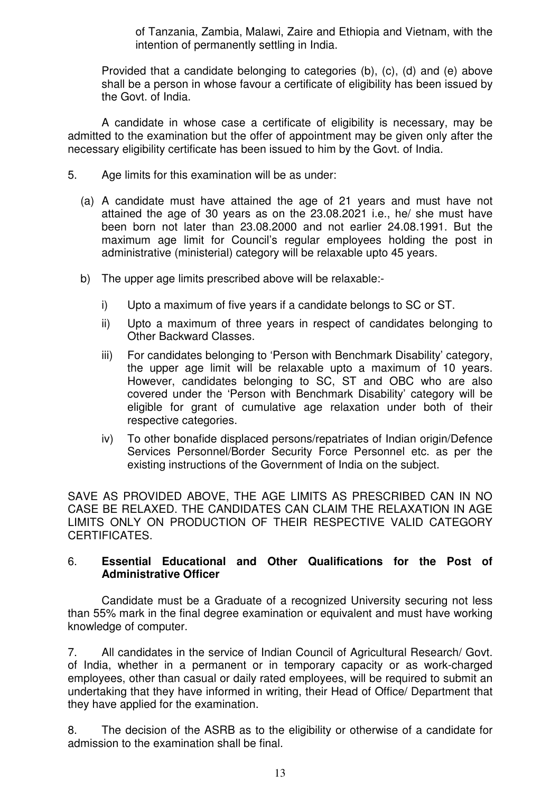of Tanzania, Zambia, Malawi, Zaire and Ethiopia and Vietnam, with the intention of permanently settling in India.

Provided that a candidate belonging to categories (b), (c), (d) and (e) above shall be a person in whose favour a certificate of eligibility has been issued by the Govt. of India.

 A candidate in whose case a certificate of eligibility is necessary, may be admitted to the examination but the offer of appointment may be given only after the necessary eligibility certificate has been issued to him by the Govt. of India.

- 5. Age limits for this examination will be as under:
	- (a) A candidate must have attained the age of 21 years and must have not attained the age of 30 years as on the 23.08.2021 i.e., he/ she must have been born not later than 23.08.2000 and not earlier 24.08.1991. But the maximum age limit for Council's regular employees holding the post in administrative (ministerial) category will be relaxable upto 45 years.
	- b) The upper age limits prescribed above will be relaxable:
		- i) Upto a maximum of five years if a candidate belongs to SC or ST.
		- ii) Upto a maximum of three years in respect of candidates belonging to Other Backward Classes.
		- iii) For candidates belonging to 'Person with Benchmark Disability' category, the upper age limit will be relaxable upto a maximum of 10 years. However, candidates belonging to SC, ST and OBC who are also covered under the 'Person with Benchmark Disability' category will be eligible for grant of cumulative age relaxation under both of their respective categories.
		- iv) To other bonafide displaced persons/repatriates of Indian origin/Defence Services Personnel/Border Security Force Personnel etc. as per the existing instructions of the Government of India on the subject.

SAVE AS PROVIDED ABOVE, THE AGE LIMITS AS PRESCRIBED CAN IN NO CASE BE RELAXED. THE CANDIDATES CAN CLAIM THE RELAXATION IN AGE LIMITS ONLY ON PRODUCTION OF THEIR RESPECTIVE VALID CATEGORY CERTIFICATES.

#### 6. **Essential Educational and Other Qualifications for the Post of Administrative Officer**

 Candidate must be a Graduate of a recognized University securing not less than 55% mark in the final degree examination or equivalent and must have working knowledge of computer.

7. All candidates in the service of Indian Council of Agricultural Research/ Govt. of India, whether in a permanent or in temporary capacity or as work-charged employees, other than casual or daily rated employees, will be required to submit an undertaking that they have informed in writing, their Head of Office/ Department that they have applied for the examination.

8. The decision of the ASRB as to the eligibility or otherwise of a candidate for admission to the examination shall be final.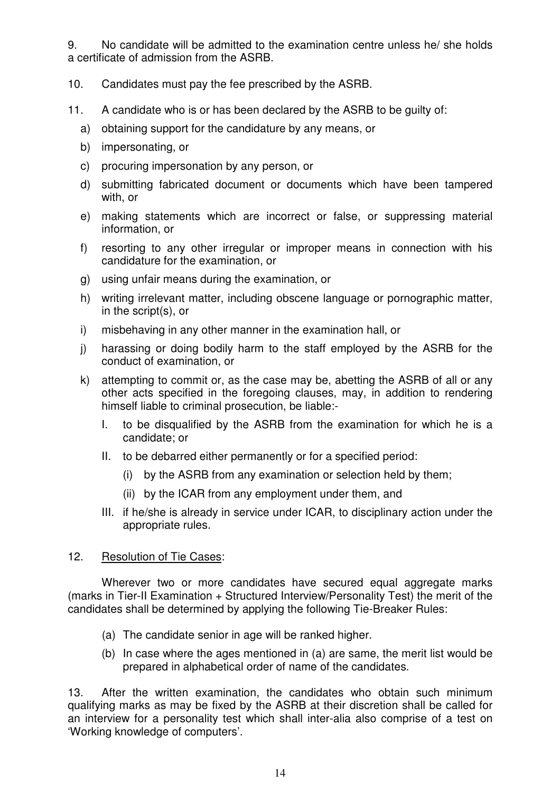9. No candidate will be admitted to the examination centre unless he/ she holds a certificate of admission from the ASRB.

- 10. Candidates must pay the fee prescribed by the ASRB.
- 11. A candidate who is or has been declared by the ASRB to be guilty of:
	- a) obtaining support for the candidature by any means, or
	- b) impersonating, or
	- c) procuring impersonation by any person, or
	- d) submitting fabricated document or documents which have been tampered with, or
	- e) making statements which are incorrect or false, or suppressing material information, or
	- f) resorting to any other irregular or improper means in connection with his candidature for the examination, or
	- g) using unfair means during the examination, or
	- h) writing irrelevant matter, including obscene language or pornographic matter, in the script(s), or
	- i) misbehaving in any other manner in the examination hall, or
	- j) harassing or doing bodily harm to the staff employed by the ASRB for the conduct of examination, or
	- k) attempting to commit or, as the case may be, abetting the ASRB of all or any other acts specified in the foregoing clauses, may, in addition to rendering himself liable to criminal prosecution, be liable:-
		- I. to be disqualified by the ASRB from the examination for which he is a candidate; or
		- II. to be debarred either permanently or for a specified period:
			- (i) by the ASRB from any examination or selection held by them;
			- (ii) by the ICAR from any employment under them, and
		- III. if he/she is already in service under ICAR, to disciplinary action under the appropriate rules.

#### 12. Resolution of Tie Cases:

Wherever two or more candidates have secured equal aggregate marks (marks in Tier-II Examination + Structured Interview/Personality Test) the merit of the candidates shall be determined by applying the following Tie-Breaker Rules:

- (a) The candidate senior in age will be ranked higher.
- (b) In case where the ages mentioned in (a) are same, the merit list would be prepared in alphabetical order of name of the candidates.

13. After the written examination, the candidates who obtain such minimum qualifying marks as may be fixed by the ASRB at their discretion shall be called for an interview for a personality test which shall inter-alia also comprise of a test on 'Working knowledge of computers'.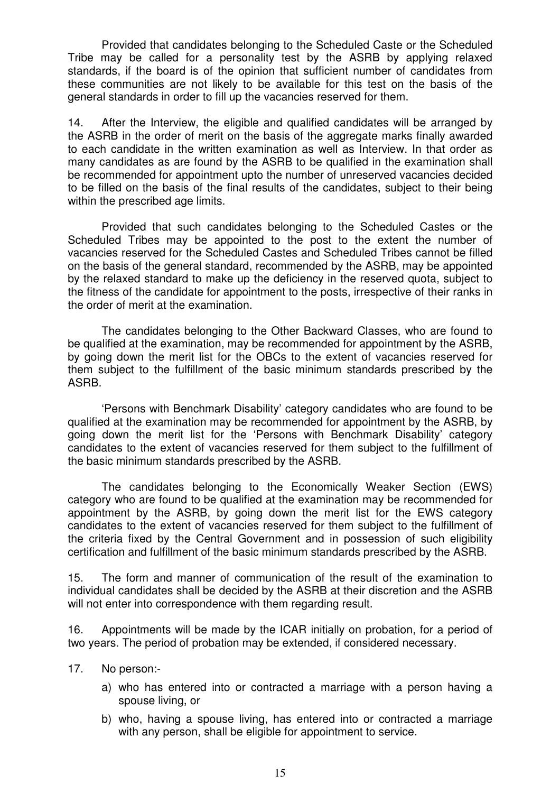Provided that candidates belonging to the Scheduled Caste or the Scheduled Tribe may be called for a personality test by the ASRB by applying relaxed standards, if the board is of the opinion that sufficient number of candidates from these communities are not likely to be available for this test on the basis of the general standards in order to fill up the vacancies reserved for them.

14. After the Interview, the eligible and qualified candidates will be arranged by the ASRB in the order of merit on the basis of the aggregate marks finally awarded to each candidate in the written examination as well as Interview. In that order as many candidates as are found by the ASRB to be qualified in the examination shall be recommended for appointment upto the number of unreserved vacancies decided to be filled on the basis of the final results of the candidates, subject to their being within the prescribed age limits.

 Provided that such candidates belonging to the Scheduled Castes or the Scheduled Tribes may be appointed to the post to the extent the number of vacancies reserved for the Scheduled Castes and Scheduled Tribes cannot be filled on the basis of the general standard, recommended by the ASRB, may be appointed by the relaxed standard to make up the deficiency in the reserved quota, subject to the fitness of the candidate for appointment to the posts, irrespective of their ranks in the order of merit at the examination.

 The candidates belonging to the Other Backward Classes, who are found to be qualified at the examination, may be recommended for appointment by the ASRB, by going down the merit list for the OBCs to the extent of vacancies reserved for them subject to the fulfillment of the basic minimum standards prescribed by the ASRB.

 'Persons with Benchmark Disability' category candidates who are found to be qualified at the examination may be recommended for appointment by the ASRB, by going down the merit list for the 'Persons with Benchmark Disability' category candidates to the extent of vacancies reserved for them subject to the fulfillment of the basic minimum standards prescribed by the ASRB.

 The candidates belonging to the Economically Weaker Section (EWS) category who are found to be qualified at the examination may be recommended for appointment by the ASRB, by going down the merit list for the EWS category candidates to the extent of vacancies reserved for them subject to the fulfillment of the criteria fixed by the Central Government and in possession of such eligibility certification and fulfillment of the basic minimum standards prescribed by the ASRB.

15. The form and manner of communication of the result of the examination to individual candidates shall be decided by the ASRB at their discretion and the ASRB will not enter into correspondence with them regarding result.

16. Appointments will be made by the ICAR initially on probation, for a period of two years. The period of probation may be extended, if considered necessary.

- 17. No person:
	- a) who has entered into or contracted a marriage with a person having a spouse living, or
	- b) who, having a spouse living, has entered into or contracted a marriage with any person, shall be eligible for appointment to service.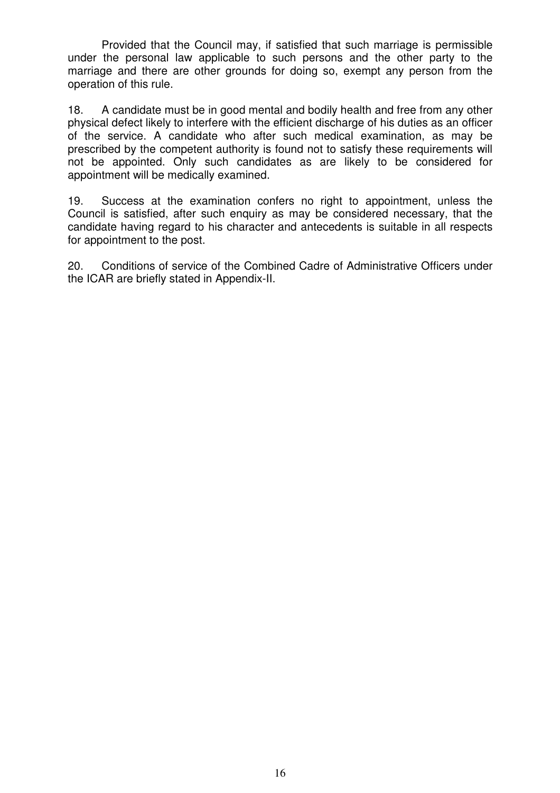Provided that the Council may, if satisfied that such marriage is permissible under the personal law applicable to such persons and the other party to the marriage and there are other grounds for doing so, exempt any person from the operation of this rule.

18. A candidate must be in good mental and bodily health and free from any other physical defect likely to interfere with the efficient discharge of his duties as an officer of the service. A candidate who after such medical examination, as may be prescribed by the competent authority is found not to satisfy these requirements will not be appointed. Only such candidates as are likely to be considered for appointment will be medically examined.

19. Success at the examination confers no right to appointment, unless the Council is satisfied, after such enquiry as may be considered necessary, that the candidate having regard to his character and antecedents is suitable in all respects for appointment to the post.

20. Conditions of service of the Combined Cadre of Administrative Officers under the ICAR are briefly stated in Appendix-II.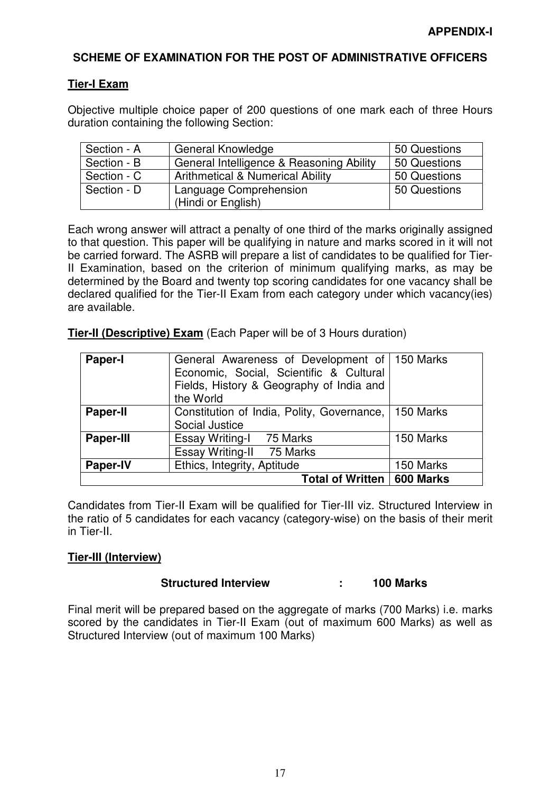#### **SCHEME OF EXAMINATION FOR THE POST OF ADMINISTRATIVE OFFICERS**

#### **Tier-I Exam**

Objective multiple choice paper of 200 questions of one mark each of three Hours duration containing the following Section:

| Section - A | <b>General Knowledge</b>                     | 50 Questions |
|-------------|----------------------------------------------|--------------|
| Section - B | General Intelligence & Reasoning Ability     | 50 Questions |
| Section - C | <b>Arithmetical &amp; Numerical Ability</b>  | 50 Questions |
| Section - D | Language Comprehension<br>(Hindi or English) | 50 Questions |

Each wrong answer will attract a penalty of one third of the marks originally assigned to that question. This paper will be qualifying in nature and marks scored in it will not be carried forward. The ASRB will prepare a list of candidates to be qualified for Tier-II Examination, based on the criterion of minimum qualifying marks, as may be determined by the Board and twenty top scoring candidates for one vacancy shall be declared qualified for the Tier-II Exam from each category under which vacancy(ies) are available.

**Tier-II (Descriptive) Exam** (Each Paper will be of 3 Hours duration)

| <b>Paper-I</b>   | General Awareness of Development of   150 Marks<br>Economic, Social, Scientific & Cultural<br>Fields, History & Geography of India and<br>the World |           |
|------------------|-----------------------------------------------------------------------------------------------------------------------------------------------------|-----------|
| <b>Paper-II</b>  | Constitution of India, Polity, Governance,<br>Social Justice                                                                                        | 150 Marks |
| <b>Paper-III</b> | Essay Writing-I 75 Marks<br>Essay Writing-II 75 Marks                                                                                               | 150 Marks |
| <b>Paper-IV</b>  | Ethics, Integrity, Aptitude                                                                                                                         | 150 Marks |
|                  | <b>Total of Written</b>                                                                                                                             | 600 Marks |

Candidates from Tier-II Exam will be qualified for Tier-III viz. Structured Interview in the ratio of 5 candidates for each vacancy (category-wise) on the basis of their merit in Tier-II.

# **Tier-III (Interview)**

#### **Structured Interview : 100 Marks**

Final merit will be prepared based on the aggregate of marks (700 Marks) i.e. marks scored by the candidates in Tier-II Exam (out of maximum 600 Marks) as well as Structured Interview (out of maximum 100 Marks)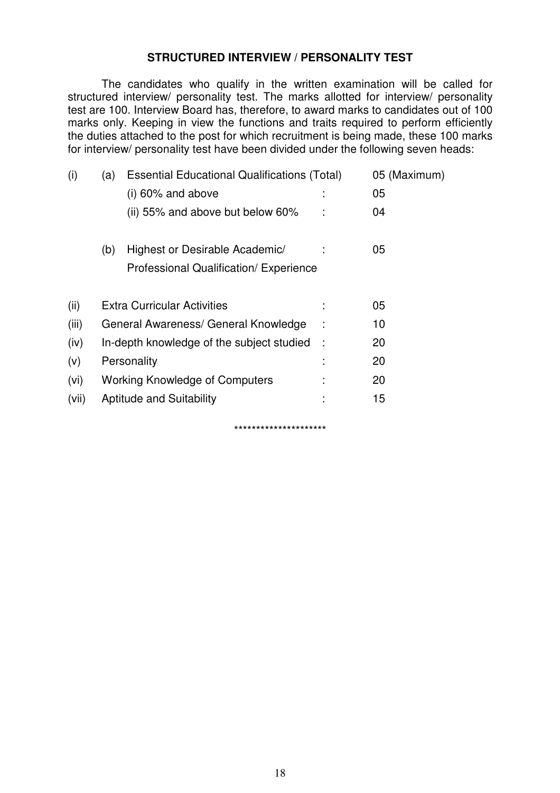### **STRUCTURED INTERVIEW / PERSONALITY TEST**

 The candidates who qualify in the written examination will be called for structured interview/ personality test. The marks allotted for interview/ personality test are 100. Interview Board has, therefore, to award marks to candidates out of 100 marks only. Keeping in view the functions and traits required to perform efficiently the duties attached to the post for which recruitment is being made, these 100 marks for interview/ personality test have been divided under the following seven heads:

| (i)   | (a) | <b>Essential Educational Qualifications (Total)</b> |   | 05 (Maximum) |
|-------|-----|-----------------------------------------------------|---|--------------|
|       |     | $(i)$ 60% and above                                 |   | 05           |
|       |     | (ii) 55% and above but below 60%                    |   | 04           |
|       | (b) | Highest or Desirable Academic/                      |   | 05           |
|       |     | Professional Qualification/ Experience              |   |              |
| (ii)  |     | <b>Extra Curricular Activities</b>                  |   | 05           |
| (iii) |     | General Awareness/ General Knowledge                |   | 10           |
| (iv)  |     | In-depth knowledge of the subject studied           | ÷ | 20           |
| (v)   |     | Personality                                         |   | 20           |
| (vi)  |     | <b>Working Knowledge of Computers</b>               |   | 20           |
| (vii) |     | <b>Aptitude and Suitability</b>                     |   | 15           |
|       |     | *********************                               |   |              |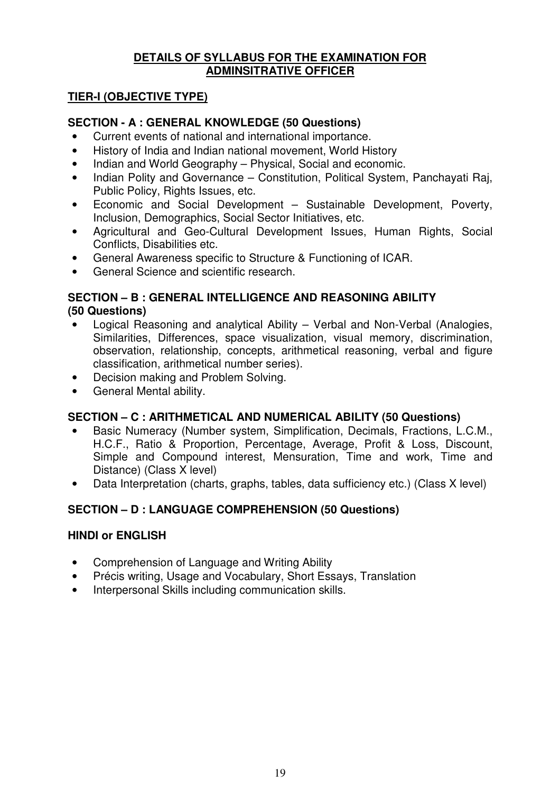### **DETAILS OF SYLLABUS FOR THE EXAMINATION FOR ADMINSITRATIVE OFFICER**

# **TIER-I (OBJECTIVE TYPE)**

## **SECTION - A : GENERAL KNOWLEDGE (50 Questions)**

- Current events of national and international importance.
- History of India and Indian national movement, World History
- Indian and World Geography Physical, Social and economic.
- Indian Polity and Governance Constitution, Political System, Panchayati Raj, Public Policy, Rights Issues, etc.
- Economic and Social Development Sustainable Development, Poverty, Inclusion, Demographics, Social Sector Initiatives, etc.
- Agricultural and Geo-Cultural Development Issues, Human Rights, Social Conflicts, Disabilities etc.
- General Awareness specific to Structure & Functioning of ICAR.
- General Science and scientific research.

## **SECTION – B : GENERAL INTELLIGENCE AND REASONING ABILITY (50 Questions)**

- Logical Reasoning and analytical Ability Verbal and Non-Verbal (Analogies, Similarities, Differences, space visualization, visual memory, discrimination, observation, relationship, concepts, arithmetical reasoning, verbal and figure classification, arithmetical number series).
- Decision making and Problem Solving.
- General Mental ability.

# **SECTION – C : ARITHMETICAL AND NUMERICAL ABILITY (50 Questions)**

- Basic Numeracy (Number system, Simplification, Decimals, Fractions, L.C.M., H.C.F., Ratio & Proportion, Percentage, Average, Profit & Loss, Discount, Simple and Compound interest, Mensuration, Time and work, Time and Distance) (Class X level)
- Data Interpretation (charts, graphs, tables, data sufficiency etc.) (Class X level)

# **SECTION – D : LANGUAGE COMPREHENSION (50 Questions)**

#### **HINDI or ENGLISH**

- Comprehension of Language and Writing Ability
- Précis writing, Usage and Vocabulary, Short Essays, Translation
- Interpersonal Skills including communication skills.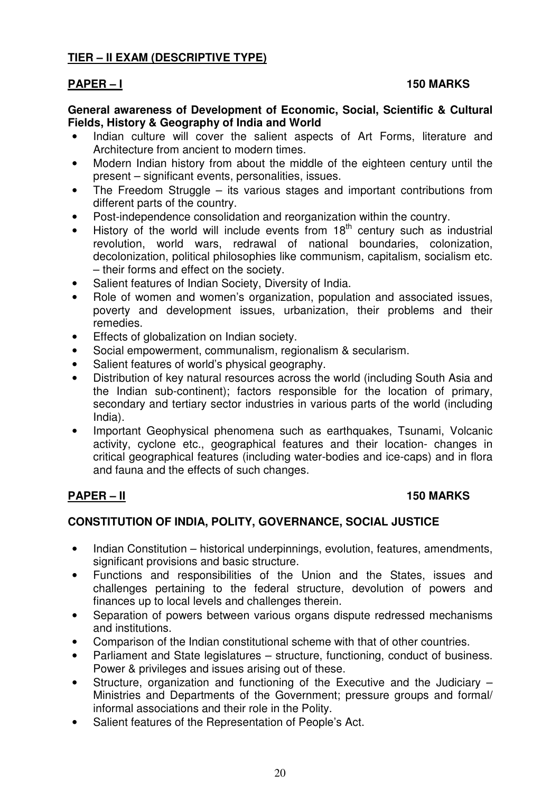# **TIER – II EXAM (DESCRIPTIVE TYPE)**

### PAPER – I 150 MARKS

#### **General awareness of Development of Economic, Social, Scientific & Cultural Fields, History & Geography of India and World**

- Indian culture will cover the salient aspects of Art Forms, literature and Architecture from ancient to modern times.
- Modern Indian history from about the middle of the eighteen century until the present – significant events, personalities, issues.
- The Freedom Struggle its various stages and important contributions from different parts of the country.
- Post-independence consolidation and reorganization within the country.
- History of the world will include events from  $18<sup>th</sup>$  century such as industrial revolution, world wars, redrawal of national boundaries, colonization, decolonization, political philosophies like communism, capitalism, socialism etc. – their forms and effect on the society.
- Salient features of Indian Society, Diversity of India.
- Role of women and women's organization, population and associated issues, poverty and development issues, urbanization, their problems and their remedies.
- Effects of globalization on Indian society.
- Social empowerment, communalism, regionalism & secularism.
- Salient features of world's physical geography.
- Distribution of key natural resources across the world (including South Asia and the Indian sub-continent); factors responsible for the location of primary, secondary and tertiary sector industries in various parts of the world (including India).
- Important Geophysical phenomena such as earthquakes, Tsunami, Volcanic activity, cyclone etc., geographical features and their location- changes in critical geographical features (including water-bodies and ice-caps) and in flora and fauna and the effects of such changes.

### **PAPER – II** 150 MARKS

#### **CONSTITUTION OF INDIA, POLITY, GOVERNANCE, SOCIAL JUSTICE**

- Indian Constitution historical underpinnings, evolution, features, amendments, significant provisions and basic structure.
- Functions and responsibilities of the Union and the States, issues and challenges pertaining to the federal structure, devolution of powers and finances up to local levels and challenges therein.
- Separation of powers between various organs dispute redressed mechanisms and institutions.
- Comparison of the Indian constitutional scheme with that of other countries.
- Parliament and State legislatures structure, functioning, conduct of business. Power & privileges and issues arising out of these.
- Structure, organization and functioning of the Executive and the Judiciary Ministries and Departments of the Government; pressure groups and formal/ informal associations and their role in the Polity.
- Salient features of the Representation of People's Act.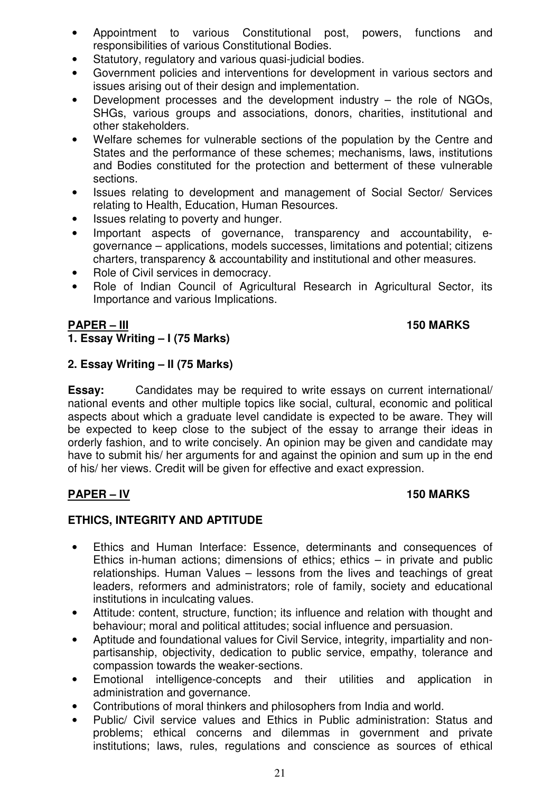- Appointment to various Constitutional post, powers, functions and responsibilities of various Constitutional Bodies.
- Statutory, regulatory and various quasi-judicial bodies.
- Government policies and interventions for development in various sectors and issues arising out of their design and implementation.
- Development processes and the development industry  $-$  the role of NGOs, SHGs, various groups and associations, donors, charities, institutional and other stakeholders.
- Welfare schemes for vulnerable sections of the population by the Centre and States and the performance of these schemes; mechanisms, laws, institutions and Bodies constituted for the protection and betterment of these vulnerable sections.
- Issues relating to development and management of Social Sector/ Services relating to Health, Education, Human Resources.
- Issues relating to poverty and hunger.
- Important aspects of governance, transparency and accountability, egovernance – applications, models successes, limitations and potential; citizens charters, transparency & accountability and institutional and other measures.
- Role of Civil services in democracy.
- Role of Indian Council of Agricultural Research in Agricultural Sector, its Importance and various Implications.

# **PAPER – III** 150 MARKS

# **1. Essay Writing – I (75 Marks)**

#### **2. Essay Writing – II (75 Marks)**

**Essay:** Candidates may be required to write essays on current international/ national events and other multiple topics like social, cultural, economic and political aspects about which a graduate level candidate is expected to be aware. They will be expected to keep close to the subject of the essay to arrange their ideas in orderly fashion, and to write concisely. An opinion may be given and candidate may have to submit his/ her arguments for and against the opinion and sum up in the end of his/ her views. Credit will be given for effective and exact expression.

# PAPER – IV 150 MARKS

# **ETHICS, INTEGRITY AND APTITUDE**

- Ethics and Human Interface: Essence, determinants and consequences of Ethics in-human actions; dimensions of ethics; ethics  $-$  in private and public relationships. Human Values – lessons from the lives and teachings of great leaders, reformers and administrators; role of family, society and educational institutions in inculcating values.
- Attitude: content, structure, function; its influence and relation with thought and behaviour; moral and political attitudes; social influence and persuasion.
- Aptitude and foundational values for Civil Service, integrity, impartiality and nonpartisanship, objectivity, dedication to public service, empathy, tolerance and compassion towards the weaker-sections.
- Emotional intelligence-concepts and their utilities and application in administration and governance.
- Contributions of moral thinkers and philosophers from India and world.
- Public/ Civil service values and Ethics in Public administration: Status and problems; ethical concerns and dilemmas in government and private institutions; laws, rules, regulations and conscience as sources of ethical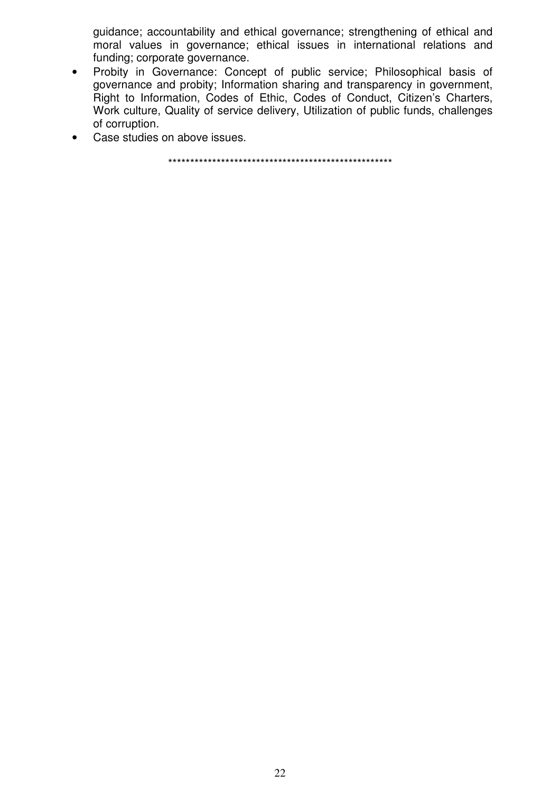guidance; accountability and ethical governance; strengthening of ethical and moral values in governance; ethical issues in international relations and funding; corporate governance.

- Probity in Governance: Concept of public service; Philosophical basis of governance and probity; Information sharing and transparency in government, Right to Information, Codes of Ethic, Codes of Conduct, Citizen's Charters, Work culture, Quality of service delivery, Utilization of public funds, challenges of corruption.
- Case studies on above issues.

\*\*\*\*\*\*\*\*\*\*\*\*\*\*\*\*\*\*\*\*\*\*\*\*\*\*\*\*\*\*\*\*\*\*\*\*\*\*\*\*\*\*\*\*\*\*\*\*\*\*\*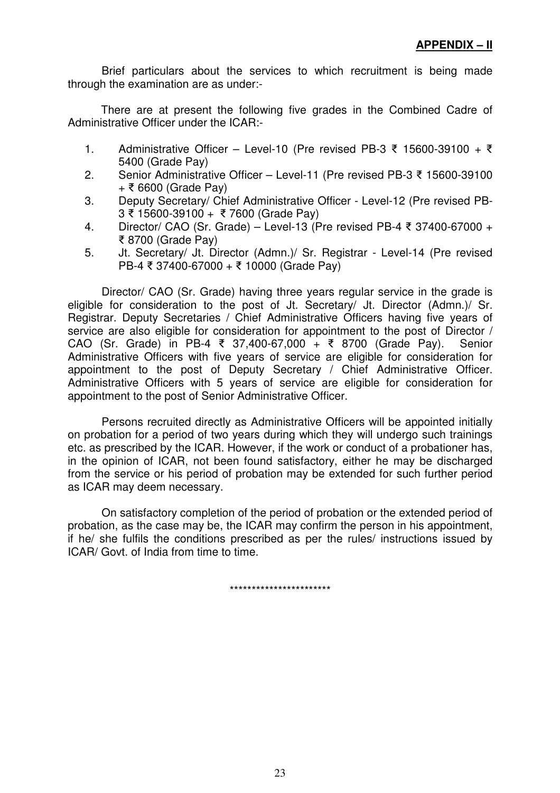Brief particulars about the services to which recruitment is being made through the examination are as under:-

There are at present the following five grades in the Combined Cadre of Administrative Officer under the ICAR:-

- 1. Administrative Officer Level-10 (Pre revised PB-3 ₹ 15600-39100 + ₹ 5400 (Grade Pay)
- 2. Senior Administrative Officer Level-11 (Pre revised PB-3 15600-39100  $+$  ₹ 6600 (Grade Pay)
- 3. Deputy Secretary/ Chief Administrative Officer Level-12 (Pre revised PB-3 15600-39100 + 7600 (Grade Pay)
- 4. Director/ CAO (Sr. Grade) Level-13 (Pre revised PB-4 ₹ 37400-67000 + 8700 (Grade Pay)
- 5. Jt. Secretary/ Jt. Director (Admn.)/ Sr. Registrar Level-14 (Pre revised PB-4 ₹ 37400-67000 + ₹ 10000 (Grade Pay)

Director/ CAO (Sr. Grade) having three years regular service in the grade is eligible for consideration to the post of Jt. Secretary/ Jt. Director (Admn.)/ Sr. Registrar. Deputy Secretaries / Chief Administrative Officers having five years of service are also eligible for consideration for appointment to the post of Director / CAO (Sr. Grade) in PB-4 ₹ 37,400-67,000 + ₹ 8700 (Grade Pay). Senior Administrative Officers with five years of service are eligible for consideration for appointment to the post of Deputy Secretary / Chief Administrative Officer. Administrative Officers with 5 years of service are eligible for consideration for appointment to the post of Senior Administrative Officer.

 Persons recruited directly as Administrative Officers will be appointed initially on probation for a period of two years during which they will undergo such trainings etc. as prescribed by the ICAR. However, if the work or conduct of a probationer has, in the opinion of ICAR, not been found satisfactory, either he may be discharged from the service or his period of probation may be extended for such further period as ICAR may deem necessary.

 On satisfactory completion of the period of probation or the extended period of probation, as the case may be, the ICAR may confirm the person in his appointment, if he/ she fulfils the conditions prescribed as per the rules/ instructions issued by ICAR/ Govt. of India from time to time.

\*\*\*\*\*\*\*\*\*\*\*\*\*\*\*\*\*\*\*\*\*\*\*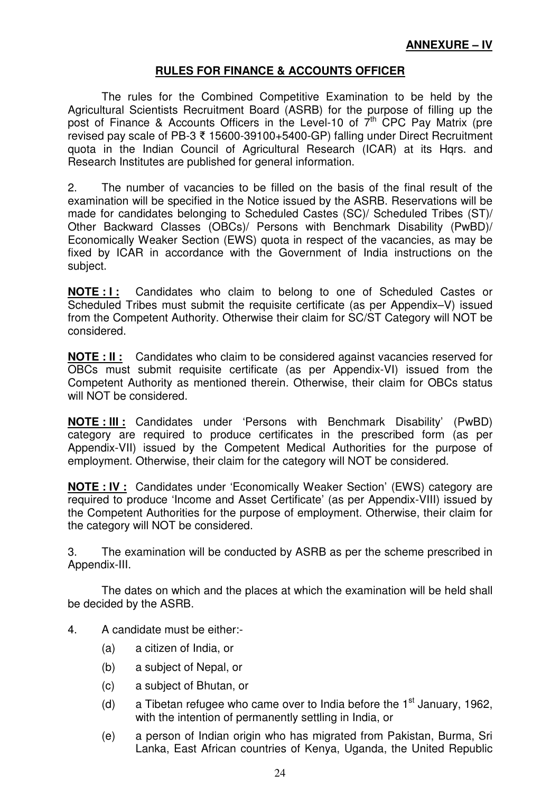# **RULES FOR FINANCE & ACCOUNTS OFFICER**

 The rules for the Combined Competitive Examination to be held by the Agricultural Scientists Recruitment Board (ASRB) for the purpose of filling up the post of Finance & Accounts Officers in the Level-10 of 7<sup>th</sup> CPC Pay Matrix (pre revised pay scale of PB-3 ₹ 15600-39100+5400-GP) falling under Direct Recruitment quota in the Indian Council of Agricultural Research (ICAR) at its Hqrs. and Research Institutes are published for general information.

2. The number of vacancies to be filled on the basis of the final result of the examination will be specified in the Notice issued by the ASRB. Reservations will be made for candidates belonging to Scheduled Castes (SC)/ Scheduled Tribes (ST)/ Other Backward Classes (OBCs)/ Persons with Benchmark Disability (PwBD)/ Economically Weaker Section (EWS) quota in respect of the vacancies, as may be fixed by ICAR in accordance with the Government of India instructions on the subject.

**NOTE : I :** Candidates who claim to belong to one of Scheduled Castes or Scheduled Tribes must submit the requisite certificate (as per Appendix–V) issued from the Competent Authority. Otherwise their claim for SC/ST Category will NOT be considered.

**NOTE : II :** Candidates who claim to be considered against vacancies reserved for OBCs must submit requisite certificate (as per Appendix-VI) issued from the Competent Authority as mentioned therein. Otherwise, their claim for OBCs status will NOT be considered.

**NOTE : III :** Candidates under 'Persons with Benchmark Disability' (PwBD) category are required to produce certificates in the prescribed form (as per Appendix-VII) issued by the Competent Medical Authorities for the purpose of employment. Otherwise, their claim for the category will NOT be considered.

**NOTE : IV :** Candidates under 'Economically Weaker Section' (EWS) category are required to produce 'Income and Asset Certificate' (as per Appendix-VIII) issued by the Competent Authorities for the purpose of employment. Otherwise, their claim for the category will NOT be considered.

3. The examination will be conducted by ASRB as per the scheme prescribed in Appendix-III.

 The dates on which and the places at which the examination will be held shall be decided by the ASRB.

- 4. A candidate must be either:-
	- (a) a citizen of India, or
	- (b) a subject of Nepal, or
	- (c) a subject of Bhutan, or
	- (d) a Tibetan refugee who came over to India before the  $1<sup>st</sup>$  January, 1962, with the intention of permanently settling in India, or
	- (e) a person of Indian origin who has migrated from Pakistan, Burma, Sri Lanka, East African countries of Kenya, Uganda, the United Republic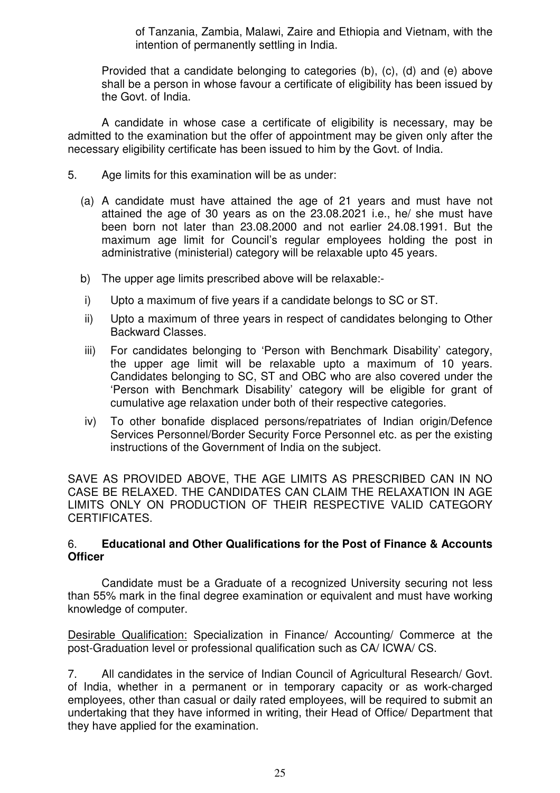of Tanzania, Zambia, Malawi, Zaire and Ethiopia and Vietnam, with the intention of permanently settling in India.

Provided that a candidate belonging to categories (b), (c), (d) and (e) above shall be a person in whose favour a certificate of eligibility has been issued by the Govt. of India.

 A candidate in whose case a certificate of eligibility is necessary, may be admitted to the examination but the offer of appointment may be given only after the necessary eligibility certificate has been issued to him by the Govt. of India.

- 5. Age limits for this examination will be as under:
	- (a) A candidate must have attained the age of 21 years and must have not attained the age of 30 years as on the 23.08.2021 i.e., he/ she must have been born not later than 23.08.2000 and not earlier 24.08.1991. But the maximum age limit for Council's regular employees holding the post in administrative (ministerial) category will be relaxable upto 45 years.
	- b) The upper age limits prescribed above will be relaxable:-
	- i) Upto a maximum of five years if a candidate belongs to SC or ST.
	- ii) Upto a maximum of three years in respect of candidates belonging to Other Backward Classes.
	- iii) For candidates belonging to 'Person with Benchmark Disability' category, the upper age limit will be relaxable upto a maximum of 10 years. Candidates belonging to SC, ST and OBC who are also covered under the 'Person with Benchmark Disability' category will be eligible for grant of cumulative age relaxation under both of their respective categories.
	- iv) To other bonafide displaced persons/repatriates of Indian origin/Defence Services Personnel/Border Security Force Personnel etc. as per the existing instructions of the Government of India on the subject.

SAVE AS PROVIDED ABOVE, THE AGE LIMITS AS PRESCRIBED CAN IN NO CASE BE RELAXED. THE CANDIDATES CAN CLAIM THE RELAXATION IN AGE LIMITS ONLY ON PRODUCTION OF THEIR RESPECTIVE VALID CATEGORY CERTIFICATES.

#### 6. **Educational and Other Qualifications for the Post of Finance & Accounts Officer**

 Candidate must be a Graduate of a recognized University securing not less than 55% mark in the final degree examination or equivalent and must have working knowledge of computer.

Desirable Qualification: Specialization in Finance/ Accounting/ Commerce at the post-Graduation level or professional qualification such as CA/ ICWA/ CS.

7. All candidates in the service of Indian Council of Agricultural Research/ Govt. of India, whether in a permanent or in temporary capacity or as work-charged employees, other than casual or daily rated employees, will be required to submit an undertaking that they have informed in writing, their Head of Office/ Department that they have applied for the examination.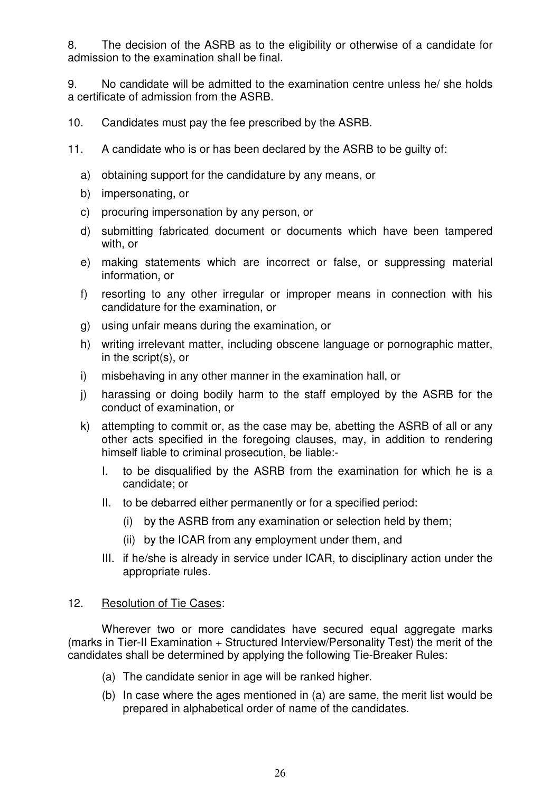8. The decision of the ASRB as to the eligibility or otherwise of a candidate for admission to the examination shall be final.

9. No candidate will be admitted to the examination centre unless he/ she holds a certificate of admission from the ASRB.

- 10. Candidates must pay the fee prescribed by the ASRB.
- 11. A candidate who is or has been declared by the ASRB to be guilty of:
	- a) obtaining support for the candidature by any means, or
	- b) impersonating, or
	- c) procuring impersonation by any person, or
	- d) submitting fabricated document or documents which have been tampered with, or
	- e) making statements which are incorrect or false, or suppressing material information, or
	- f) resorting to any other irregular or improper means in connection with his candidature for the examination, or
	- g) using unfair means during the examination, or
	- h) writing irrelevant matter, including obscene language or pornographic matter, in the script(s), or
	- i) misbehaving in any other manner in the examination hall, or
	- j) harassing or doing bodily harm to the staff employed by the ASRB for the conduct of examination, or
	- k) attempting to commit or, as the case may be, abetting the ASRB of all or any other acts specified in the foregoing clauses, may, in addition to rendering himself liable to criminal prosecution, be liable:-
		- I. to be disqualified by the ASRB from the examination for which he is a candidate; or
		- II. to be debarred either permanently or for a specified period:
			- (i) by the ASRB from any examination or selection held by them;
			- (ii) by the ICAR from any employment under them, and
		- III. if he/she is already in service under ICAR, to disciplinary action under the appropriate rules.

#### 12. Resolution of Tie Cases:

 Wherever two or more candidates have secured equal aggregate marks (marks in Tier-II Examination + Structured Interview/Personality Test) the merit of the candidates shall be determined by applying the following Tie-Breaker Rules:

- (a) The candidate senior in age will be ranked higher.
- (b) In case where the ages mentioned in (a) are same, the merit list would be prepared in alphabetical order of name of the candidates.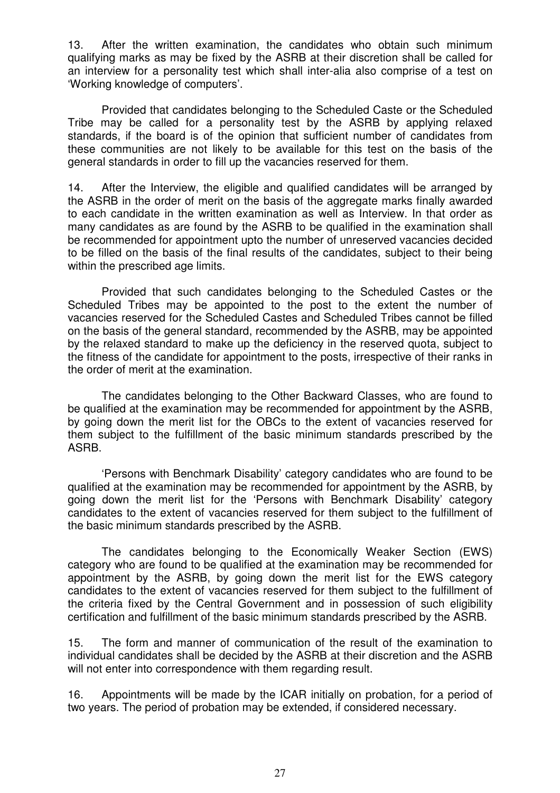13. After the written examination, the candidates who obtain such minimum qualifying marks as may be fixed by the ASRB at their discretion shall be called for an interview for a personality test which shall inter-alia also comprise of a test on 'Working knowledge of computers'.

 Provided that candidates belonging to the Scheduled Caste or the Scheduled Tribe may be called for a personality test by the ASRB by applying relaxed standards, if the board is of the opinion that sufficient number of candidates from these communities are not likely to be available for this test on the basis of the general standards in order to fill up the vacancies reserved for them.

14. After the Interview, the eligible and qualified candidates will be arranged by the ASRB in the order of merit on the basis of the aggregate marks finally awarded to each candidate in the written examination as well as Interview. In that order as many candidates as are found by the ASRB to be qualified in the examination shall be recommended for appointment upto the number of unreserved vacancies decided to be filled on the basis of the final results of the candidates, subject to their being within the prescribed age limits.

 Provided that such candidates belonging to the Scheduled Castes or the Scheduled Tribes may be appointed to the post to the extent the number of vacancies reserved for the Scheduled Castes and Scheduled Tribes cannot be filled on the basis of the general standard, recommended by the ASRB, may be appointed by the relaxed standard to make up the deficiency in the reserved quota, subject to the fitness of the candidate for appointment to the posts, irrespective of their ranks in the order of merit at the examination.

 The candidates belonging to the Other Backward Classes, who are found to be qualified at the examination may be recommended for appointment by the ASRB, by going down the merit list for the OBCs to the extent of vacancies reserved for them subject to the fulfillment of the basic minimum standards prescribed by the ASRB.

 'Persons with Benchmark Disability' category candidates who are found to be qualified at the examination may be recommended for appointment by the ASRB, by going down the merit list for the 'Persons with Benchmark Disability' category candidates to the extent of vacancies reserved for them subject to the fulfillment of the basic minimum standards prescribed by the ASRB.

 The candidates belonging to the Economically Weaker Section (EWS) category who are found to be qualified at the examination may be recommended for appointment by the ASRB, by going down the merit list for the EWS category candidates to the extent of vacancies reserved for them subject to the fulfillment of the criteria fixed by the Central Government and in possession of such eligibility certification and fulfillment of the basic minimum standards prescribed by the ASRB.

15. The form and manner of communication of the result of the examination to individual candidates shall be decided by the ASRB at their discretion and the ASRB will not enter into correspondence with them regarding result.

16. Appointments will be made by the ICAR initially on probation, for a period of two years. The period of probation may be extended, if considered necessary.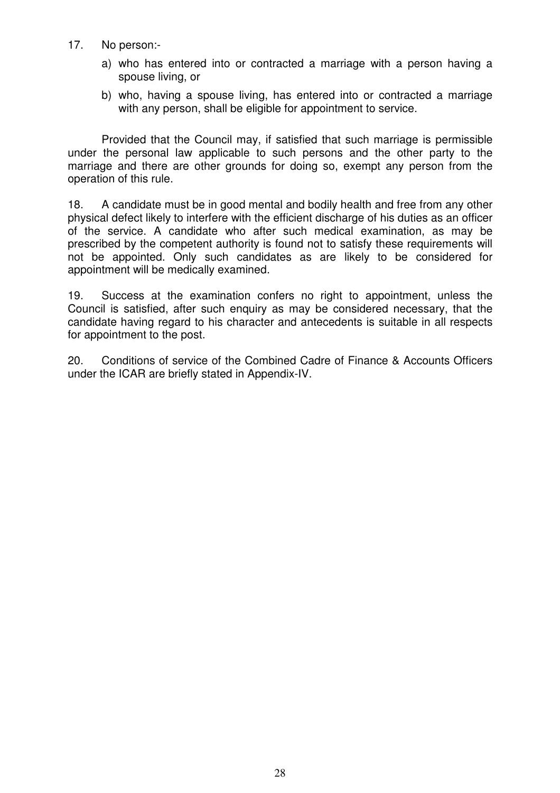- 17. No person:
	- a) who has entered into or contracted a marriage with a person having a spouse living, or
	- b) who, having a spouse living, has entered into or contracted a marriage with any person, shall be eligible for appointment to service.

 Provided that the Council may, if satisfied that such marriage is permissible under the personal law applicable to such persons and the other party to the marriage and there are other grounds for doing so, exempt any person from the operation of this rule.

18. A candidate must be in good mental and bodily health and free from any other physical defect likely to interfere with the efficient discharge of his duties as an officer of the service. A candidate who after such medical examination, as may be prescribed by the competent authority is found not to satisfy these requirements will not be appointed. Only such candidates as are likely to be considered for appointment will be medically examined.

19. Success at the examination confers no right to appointment, unless the Council is satisfied, after such enquiry as may be considered necessary, that the candidate having regard to his character and antecedents is suitable in all respects for appointment to the post.

20. Conditions of service of the Combined Cadre of Finance & Accounts Officers under the ICAR are briefly stated in Appendix-IV.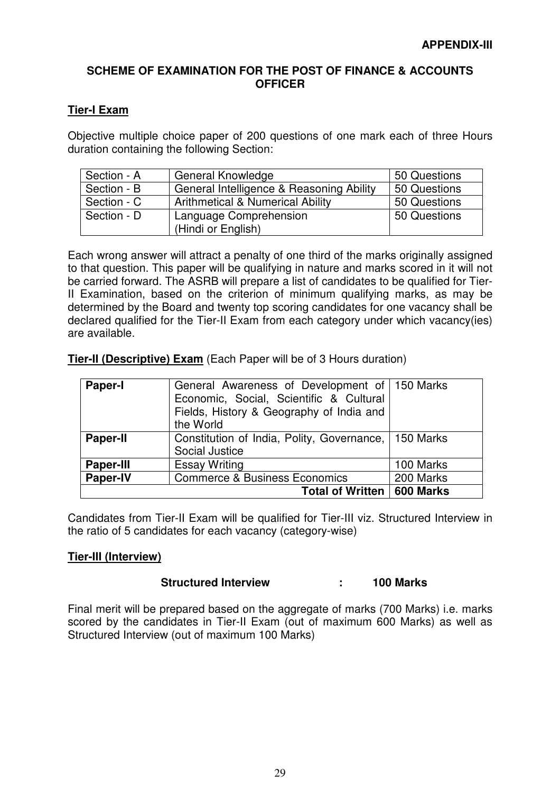#### **SCHEME OF EXAMINATION FOR THE POST OF FINANCE & ACCOUNTS OFFICER**

#### **Tier-I Exam**

Objective multiple choice paper of 200 questions of one mark each of three Hours duration containing the following Section:

| Section - A | <b>General Knowledge</b>                     | 50 Questions |
|-------------|----------------------------------------------|--------------|
| Section - B | General Intelligence & Reasoning Ability     | 50 Questions |
| Section - C | <b>Arithmetical &amp; Numerical Ability</b>  | 50 Questions |
| Section - D | Language Comprehension<br>(Hindi or English) | 50 Questions |

Each wrong answer will attract a penalty of one third of the marks originally assigned to that question. This paper will be qualifying in nature and marks scored in it will not be carried forward. The ASRB will prepare a list of candidates to be qualified for Tier-II Examination, based on the criterion of minimum qualifying marks, as may be determined by the Board and twenty top scoring candidates for one vacancy shall be declared qualified for the Tier-II Exam from each category under which vacancy(ies) are available.

**Tier-II (Descriptive) Exam** (Each Paper will be of 3 Hours duration)

| <b>Paper-I</b>   | General Awareness of Development of   150 Marks<br>Economic, Social, Scientific & Cultural<br>Fields, History & Geography of India and<br>the World |           |
|------------------|-----------------------------------------------------------------------------------------------------------------------------------------------------|-----------|
| <b>Paper-II</b>  | Constitution of India, Polity, Governance, 150 Marks<br>Social Justice                                                                              |           |
| <b>Paper-III</b> | <b>Essay Writing</b>                                                                                                                                | 100 Marks |
| <b>Paper-IV</b>  | <b>Commerce &amp; Business Economics</b>                                                                                                            | 200 Marks |
|                  | Total of Written   600 Marks                                                                                                                        |           |

Candidates from Tier-II Exam will be qualified for Tier-III viz. Structured Interview in the ratio of 5 candidates for each vacancy (category-wise)

#### **Tier-III (Interview)**

#### **Structured Interview : 100 Marks**

Final merit will be prepared based on the aggregate of marks (700 Marks) i.e. marks scored by the candidates in Tier-II Exam (out of maximum 600 Marks) as well as Structured Interview (out of maximum 100 Marks)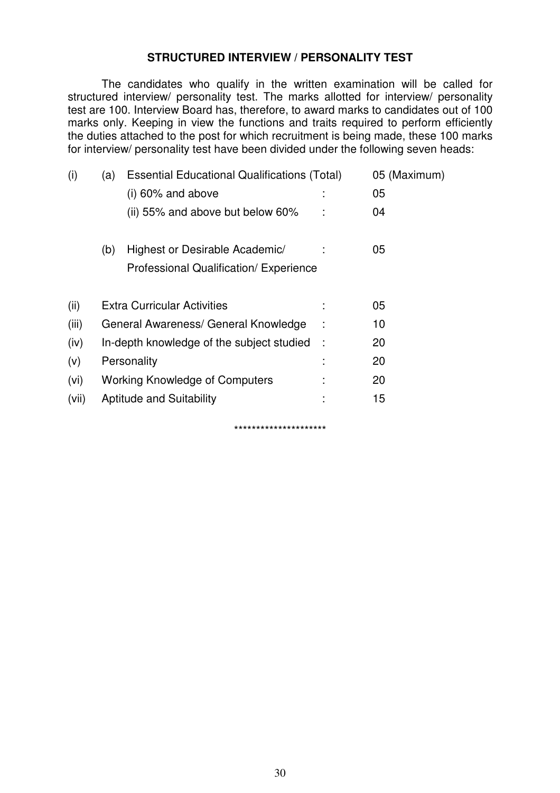### **STRUCTURED INTERVIEW / PERSONALITY TEST**

 The candidates who qualify in the written examination will be called for structured interview/ personality test. The marks allotted for interview/ personality test are 100. Interview Board has, therefore, to award marks to candidates out of 100 marks only. Keeping in view the functions and traits required to perform efficiently the duties attached to the post for which recruitment is being made, these 100 marks for interview/ personality test have been divided under the following seven heads:

| (i)   | (a) | <b>Essential Educational Qualifications (Total)</b> |   | 05 (Maximum) |
|-------|-----|-----------------------------------------------------|---|--------------|
|       |     | $(i)$ 60% and above                                 |   | 05           |
|       |     | (ii) 55% and above but below 60%                    |   | 04           |
|       | (b) | Highest or Desirable Academic/                      |   | 05           |
|       |     | Professional Qualification/ Experience              |   |              |
| (ii)  |     | <b>Extra Curricular Activities</b>                  |   | 05           |
| (iii) |     | General Awareness/ General Knowledge                |   | 10           |
| (iv)  |     | In-depth knowledge of the subject studied           | ÷ | 20           |
| (v)   |     | Personality                                         |   | 20           |
| (vi)  |     | <b>Working Knowledge of Computers</b>               |   | 20           |
| (vii) |     | <b>Aptitude and Suitability</b>                     |   | 15           |
|       |     | *********************                               |   |              |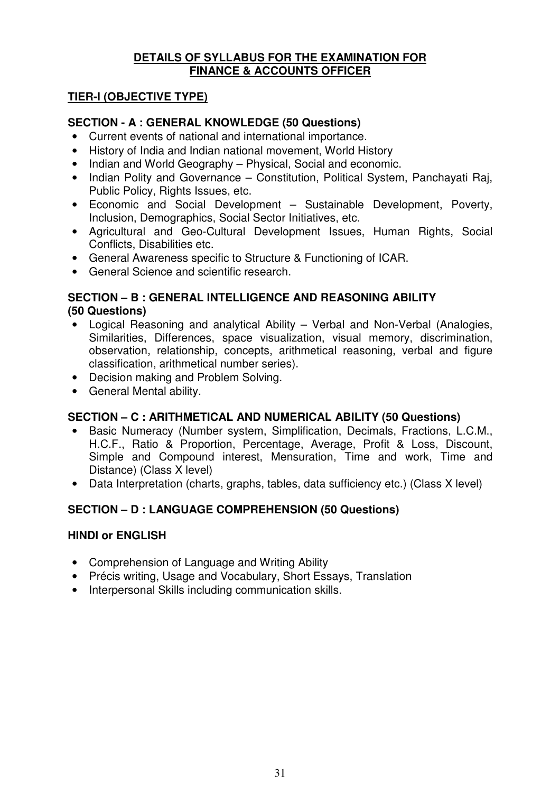#### **DETAILS OF SYLLABUS FOR THE EXAMINATION FOR FINANCE & ACCOUNTS OFFICER**

# **TIER-I (OBJECTIVE TYPE)**

# **SECTION - A : GENERAL KNOWLEDGE (50 Questions)**

- Current events of national and international importance.
- History of India and Indian national movement, World History
- Indian and World Geography Physical, Social and economic.
- Indian Polity and Governance Constitution, Political System, Panchayati Raj, Public Policy, Rights Issues, etc.
- Economic and Social Development Sustainable Development, Poverty, Inclusion, Demographics, Social Sector Initiatives, etc.
- Agricultural and Geo-Cultural Development Issues, Human Rights, Social Conflicts, Disabilities etc.
- General Awareness specific to Structure & Functioning of ICAR.
- General Science and scientific research.

## **SECTION – B : GENERAL INTELLIGENCE AND REASONING ABILITY (50 Questions)**

- Logical Reasoning and analytical Ability Verbal and Non-Verbal (Analogies, Similarities, Differences, space visualization, visual memory, discrimination, observation, relationship, concepts, arithmetical reasoning, verbal and figure classification, arithmetical number series).
- Decision making and Problem Solving.
- General Mental ability.

# **SECTION – C : ARITHMETICAL AND NUMERICAL ABILITY (50 Questions)**

- Basic Numeracy (Number system, Simplification, Decimals, Fractions, L.C.M., H.C.F., Ratio & Proportion, Percentage, Average, Profit & Loss, Discount, Simple and Compound interest, Mensuration, Time and work, Time and Distance) (Class X level)
- Data Interpretation (charts, graphs, tables, data sufficiency etc.) (Class X level)

# **SECTION – D : LANGUAGE COMPREHENSION (50 Questions)**

# **HINDI or ENGLISH**

- Comprehension of Language and Writing Ability
- Précis writing, Usage and Vocabulary, Short Essays, Translation
- Interpersonal Skills including communication skills.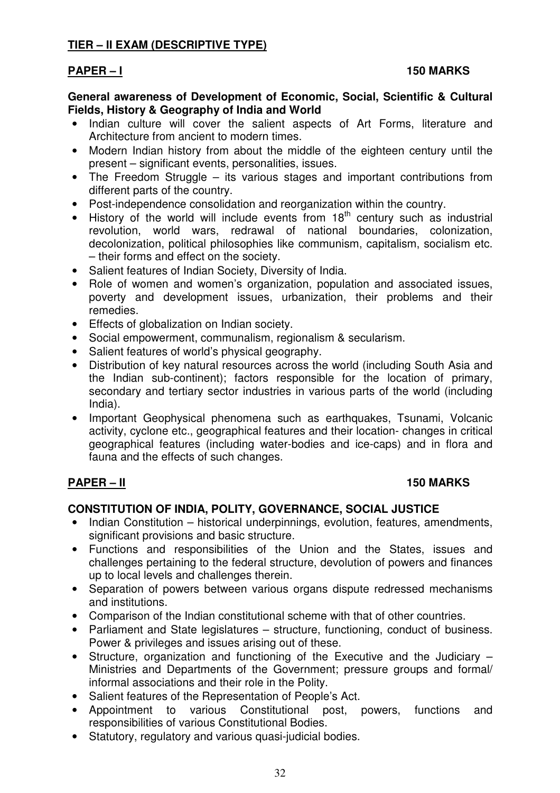# **TIER – II EXAM (DESCRIPTIVE TYPE)**

#### PAPER – I 150 MARKS

#### **General awareness of Development of Economic, Social, Scientific & Cultural Fields, History & Geography of India and World**

- Indian culture will cover the salient aspects of Art Forms, literature and Architecture from ancient to modern times.
- Modern Indian history from about the middle of the eighteen century until the present – significant events, personalities, issues.
- The Freedom Struggle its various stages and important contributions from different parts of the country.
- Post-independence consolidation and reorganization within the country.
- History of the world will include events from  $18<sup>th</sup>$  century such as industrial revolution, world wars, redrawal of national boundaries, colonization, decolonization, political philosophies like communism, capitalism, socialism etc. – their forms and effect on the society.
- Salient features of Indian Society, Diversity of India.
- Role of women and women's organization, population and associated issues, poverty and development issues, urbanization, their problems and their remedies.
- Effects of globalization on Indian society.
- Social empowerment, communalism, regionalism & secularism.
- Salient features of world's physical geography.
- Distribution of key natural resources across the world (including South Asia and the Indian sub-continent); factors responsible for the location of primary, secondary and tertiary sector industries in various parts of the world (including India).
- Important Geophysical phenomena such as earthquakes. Tsunami, Volcanic activity, cyclone etc., geographical features and their location- changes in critical geographical features (including water-bodies and ice-caps) and in flora and fauna and the effects of such changes.

#### PAPER – II 150 MARKS

#### **CONSTITUTION OF INDIA, POLITY, GOVERNANCE, SOCIAL JUSTICE**

- Indian Constitution historical underpinnings, evolution, features, amendments, significant provisions and basic structure.
- Functions and responsibilities of the Union and the States, issues and challenges pertaining to the federal structure, devolution of powers and finances up to local levels and challenges therein.
- Separation of powers between various organs dispute redressed mechanisms and institutions.
- Comparison of the Indian constitutional scheme with that of other countries.
- Parliament and State legislatures structure, functioning, conduct of business. Power & privileges and issues arising out of these.
- Structure, organization and functioning of the Executive and the Judiciary Ministries and Departments of the Government; pressure groups and formal/ informal associations and their role in the Polity.
- Salient features of the Representation of People's Act.
- Appointment to various Constitutional post, powers, functions and responsibilities of various Constitutional Bodies.
- Statutory, regulatory and various quasi-judicial bodies.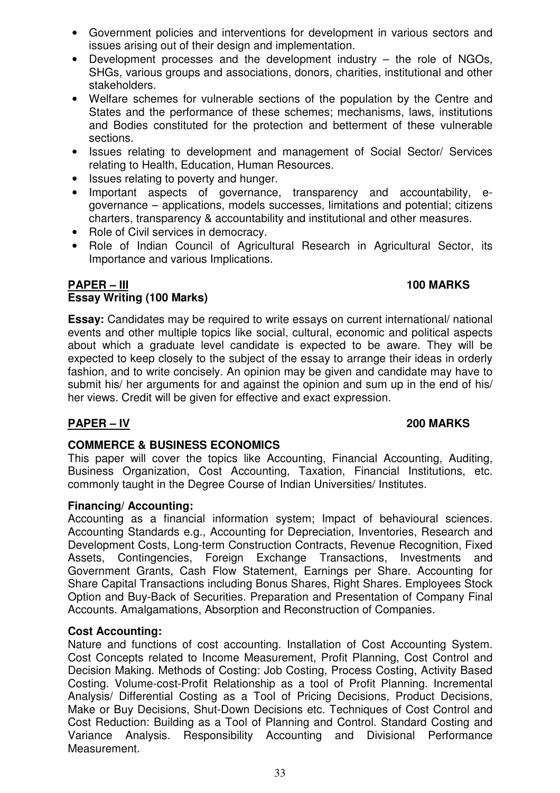- Government policies and interventions for development in various sectors and issues arising out of their design and implementation.
- Development processes and the development industry the role of NGOs, SHGs, various groups and associations, donors, charities, institutional and other stakeholders.
- Welfare schemes for vulnerable sections of the population by the Centre and States and the performance of these schemes; mechanisms, laws, institutions and Bodies constituted for the protection and betterment of these vulnerable sections.
- Issues relating to development and management of Social Sector/ Services relating to Health, Education, Human Resources.
- Issues relating to poverty and hunger.
- Important aspects of governance, transparency and accountability, egovernance – applications, models successes, limitations and potential; citizens charters, transparency & accountability and institutional and other measures.
- Role of Civil services in democracy.
- Role of Indian Council of Agricultural Research in Agricultural Sector, its Importance and various Implications.

# **PAPER – III** 100 MARKS **Essay Writing (100 Marks)**

**Essay:** Candidates may be required to write essays on current international/ national events and other multiple topics like social, cultural, economic and political aspects about which a graduate level candidate is expected to be aware. They will be expected to keep closely to the subject of the essay to arrange their ideas in orderly fashion, and to write concisely. An opinion may be given and candidate may have to submit his/ her arguments for and against the opinion and sum up in the end of his/ her views. Credit will be given for effective and exact expression.

#### **PAPER – IV 200 MARKS**

#### **COMMERCE & BUSINESS ECONOMICS**

This paper will cover the topics like Accounting, Financial Accounting, Auditing, Business Organization, Cost Accounting, Taxation, Financial Institutions, etc. commonly taught in the Degree Course of Indian Universities/ Institutes.

#### **Financing/ Accounting:**

Accounting as a financial information system; Impact of behavioural sciences. Accounting Standards e.g., Accounting for Depreciation, Inventories, Research and Development Costs, Long-term Construction Contracts, Revenue Recognition, Fixed Assets, Contingencies, Foreign Exchange Transactions, Investments and Government Grants, Cash Flow Statement, Earnings per Share. Accounting for Share Capital Transactions including Bonus Shares, Right Shares. Employees Stock Option and Buy-Back of Securities. Preparation and Presentation of Company Final Accounts. Amalgamations, Absorption and Reconstruction of Companies.

#### **Cost Accounting:**

Nature and functions of cost accounting. Installation of Cost Accounting System. Cost Concepts related to Income Measurement, Profit Planning, Cost Control and Decision Making. Methods of Costing: Job Costing, Process Costing, Activity Based Costing. Volume-cost-Profit Relationship as a tool of Profit Planning. Incremental Analysis/ Differential Costing as a Tool of Pricing Decisions, Product Decisions, Make or Buy Decisions, Shut-Down Decisions etc. Techniques of Cost Control and Cost Reduction: Building as a Tool of Planning and Control. Standard Costing and Variance Analysis. Responsibility Accounting and Divisional Performance Measurement.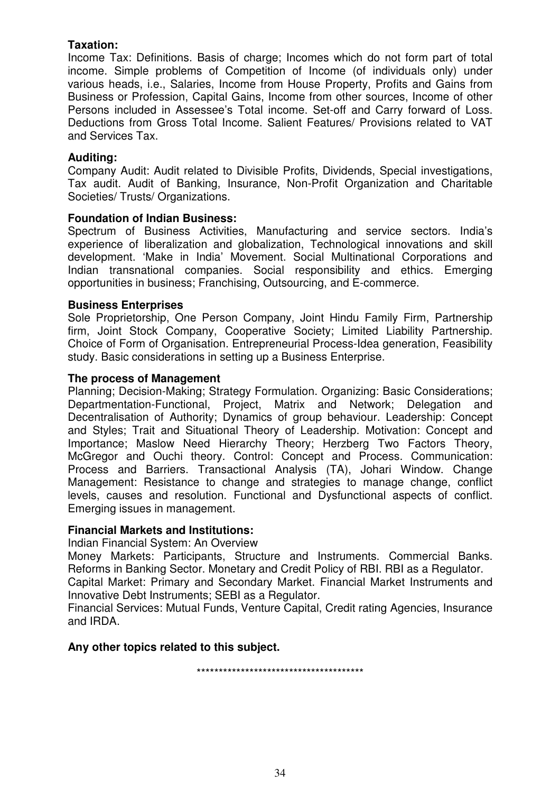### **Taxation:**

Income Tax: Definitions. Basis of charge; Incomes which do not form part of total income. Simple problems of Competition of Income (of individuals only) under various heads, i.e., Salaries, Income from House Property, Profits and Gains from Business or Profession, Capital Gains, Income from other sources, Income of other Persons included in Assessee's Total income. Set-off and Carry forward of Loss. Deductions from Gross Total Income. Salient Features/ Provisions related to VAT and Services Tax.

#### **Auditing:**

Company Audit: Audit related to Divisible Profits, Dividends, Special investigations, Tax audit. Audit of Banking, Insurance, Non-Profit Organization and Charitable Societies/ Trusts/ Organizations.

#### **Foundation of Indian Business:**

Spectrum of Business Activities, Manufacturing and service sectors. India's experience of liberalization and globalization, Technological innovations and skill development. 'Make in India' Movement. Social Multinational Corporations and Indian transnational companies. Social responsibility and ethics. Emerging opportunities in business; Franchising, Outsourcing, and E-commerce.

#### **Business Enterprises**

Sole Proprietorship, One Person Company, Joint Hindu Family Firm, Partnership firm, Joint Stock Company, Cooperative Society; Limited Liability Partnership. Choice of Form of Organisation. Entrepreneurial Process-Idea generation, Feasibility study. Basic considerations in setting up a Business Enterprise.

#### **The process of Management**

Planning; Decision-Making; Strategy Formulation. Organizing: Basic Considerations; Departmentation-Functional, Project, Matrix and Network; Delegation and Decentralisation of Authority; Dynamics of group behaviour. Leadership: Concept and Styles; Trait and Situational Theory of Leadership. Motivation: Concept and Importance; Maslow Need Hierarchy Theory; Herzberg Two Factors Theory, McGregor and Ouchi theory. Control: Concept and Process. Communication: Process and Barriers. Transactional Analysis (TA), Johari Window. Change Management: Resistance to change and strategies to manage change, conflict levels, causes and resolution. Functional and Dysfunctional aspects of conflict. Emerging issues in management.

#### **Financial Markets and Institutions:**

Indian Financial System: An Overview

Money Markets: Participants, Structure and Instruments. Commercial Banks. Reforms in Banking Sector. Monetary and Credit Policy of RBI. RBI as a Regulator.

Capital Market: Primary and Secondary Market. Financial Market Instruments and Innovative Debt Instruments; SEBI as a Regulator.

Financial Services: Mutual Funds, Venture Capital, Credit rating Agencies, Insurance and IRDA.

#### **Any other topics related to this subject.**

\*\*\*\*\*\*\*\*\*\*\*\*\*\*\*\*\*\*\*\*\*\*\*\*\*\*\*\*\*\*\*\*\*\*\*\*\*\*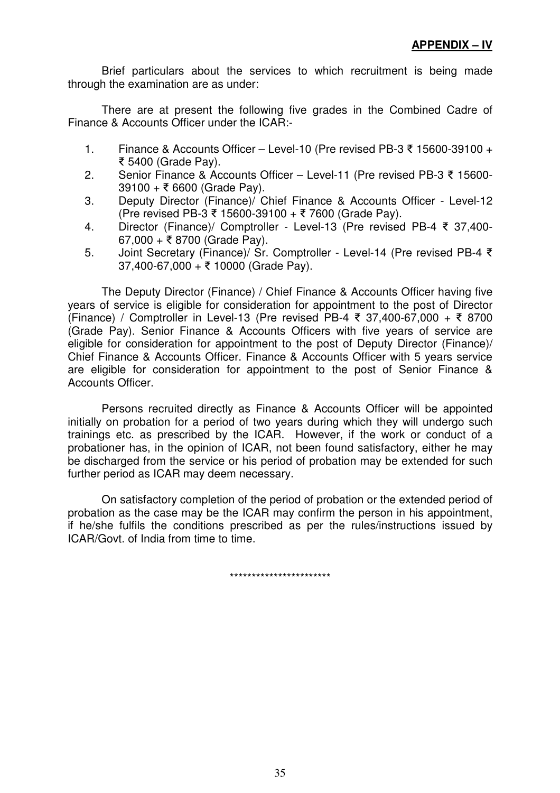Brief particulars about the services to which recruitment is being made through the examination are as under:

 There are at present the following five grades in the Combined Cadre of Finance & Accounts Officer under the ICAR:-

- 1. Finance & Accounts Officer Level-10 (Pre revised PB-3 ₹ 15600-39100 + 5400 (Grade Pay).
- 2. Senior Finance & Accounts Officer Level-11 (Pre revised PB-3 15600-  $39100 + \overline{5}6600$  (Grade Pay).
- 3. Deputy Director (Finance)/ Chief Finance & Accounts Officer Level-12  $(Pre$  revised PB-3 ₹ 15600-39100 + ₹ 7600 (Grade Pay).
- 4. Director (Finance)/ Comptroller Level-13 (Pre revised PB-4 37,400-  $67,000 + ₹ 8700$  (Grade Pay).
- 5. Joint Secretary (Finance)/ Sr. Comptroller Level-14 (Pre revised PB-4 ₹ 37,400-67,000 + 10000 (Grade Pay).

 The Deputy Director (Finance) / Chief Finance & Accounts Officer having five years of service is eligible for consideration for appointment to the post of Director (Finance) / Comptroller in Level-13 (Pre revised PB-4 ₹ 37,400-67,000 + ₹ 8700 (Grade Pay). Senior Finance & Accounts Officers with five years of service are eligible for consideration for appointment to the post of Deputy Director (Finance)/ Chief Finance & Accounts Officer. Finance & Accounts Officer with 5 years service are eligible for consideration for appointment to the post of Senior Finance & Accounts Officer.

 Persons recruited directly as Finance & Accounts Officer will be appointed initially on probation for a period of two years during which they will undergo such trainings etc. as prescribed by the ICAR. However, if the work or conduct of a probationer has, in the opinion of ICAR, not been found satisfactory, either he may be discharged from the service or his period of probation may be extended for such further period as ICAR may deem necessary.

 On satisfactory completion of the period of probation or the extended period of probation as the case may be the ICAR may confirm the person in his appointment, if he/she fulfils the conditions prescribed as per the rules/instructions issued by ICAR/Govt. of India from time to time.

\*\*\*\*\*\*\*\*\*\*\*\*\*\*\*\*\*\*\*\*\*\*\*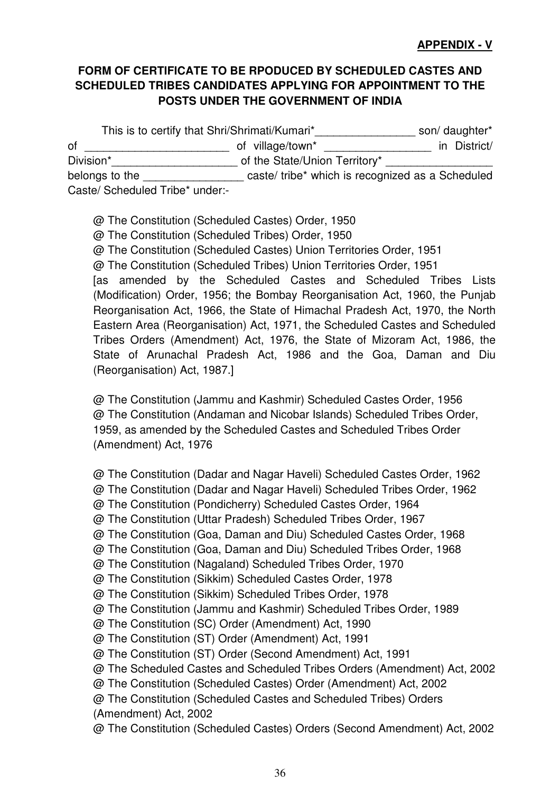# **FORM OF CERTIFICATE TO BE RPODUCED BY SCHEDULED CASTES AND SCHEDULED TRIBES CANDIDATES APPLYING FOR APPOINTMENT TO THE POSTS UNDER THE GOVERNMENT OF INDIA**

This is to certify that Shri/Shrimati/Kumari\*\_\_\_\_\_\_\_\_\_\_\_\_\_\_\_\_\_\_\_\_ son/ daughter\* of \_\_\_\_\_\_\_\_\_\_\_\_\_\_\_\_\_\_\_\_\_\_\_ of village/town\* \_\_\_\_\_\_\_\_\_\_\_\_\_\_\_\_\_ in District/ Division\*\_\_\_\_\_\_\_\_\_\_\_\_\_\_\_\_\_\_\_\_ of the State/Union Territory\* \_\_\_\_\_\_\_\_\_\_\_\_\_\_\_\_\_ belongs to the \_\_\_\_\_\_\_\_\_\_\_\_\_\_\_\_\_\_\_\_ caste/ tribe\* which is recognized as a Scheduled Caste/ Scheduled Tribe\* under:-

@ The Constitution (Scheduled Castes) Order, 1950 @ The Constitution (Scheduled Tribes) Order, 1950 @ The Constitution (Scheduled Castes) Union Territories Order, 1951 @ The Constitution (Scheduled Tribes) Union Territories Order, 1951 [as amended by the Scheduled Castes and Scheduled Tribes Lists (Modification) Order, 1956; the Bombay Reorganisation Act, 1960, the Punjab Reorganisation Act, 1966, the State of Himachal Pradesh Act, 1970, the North Eastern Area (Reorganisation) Act, 1971, the Scheduled Castes and Scheduled Tribes Orders (Amendment) Act, 1976, the State of Mizoram Act, 1986, the State of Arunachal Pradesh Act, 1986 and the Goa, Daman and Diu (Reorganisation) Act, 1987.]

@ The Constitution (Jammu and Kashmir) Scheduled Castes Order, 1956 @ The Constitution (Andaman and Nicobar Islands) Scheduled Tribes Order, 1959, as amended by the Scheduled Castes and Scheduled Tribes Order (Amendment) Act, 1976

@ The Constitution (Dadar and Nagar Haveli) Scheduled Castes Order, 1962 @ The Constitution (Dadar and Nagar Haveli) Scheduled Tribes Order, 1962 @ The Constitution (Pondicherry) Scheduled Castes Order, 1964 @ The Constitution (Uttar Pradesh) Scheduled Tribes Order, 1967 @ The Constitution (Goa, Daman and Diu) Scheduled Castes Order, 1968 @ The Constitution (Goa, Daman and Diu) Scheduled Tribes Order, 1968 @ The Constitution (Nagaland) Scheduled Tribes Order, 1970 @ The Constitution (Sikkim) Scheduled Castes Order, 1978 @ The Constitution (Sikkim) Scheduled Tribes Order, 1978 @ The Constitution (Jammu and Kashmir) Scheduled Tribes Order, 1989 @ The Constitution (SC) Order (Amendment) Act, 1990 @ The Constitution (ST) Order (Amendment) Act, 1991 @ The Constitution (ST) Order (Second Amendment) Act, 1991 @ The Scheduled Castes and Scheduled Tribes Orders (Amendment) Act, 2002 @ The Constitution (Scheduled Castes) Order (Amendment) Act, 2002 @ The Constitution (Scheduled Castes and Scheduled Tribes) Orders (Amendment) Act, 2002 @ The Constitution (Scheduled Castes) Orders (Second Amendment) Act, 2002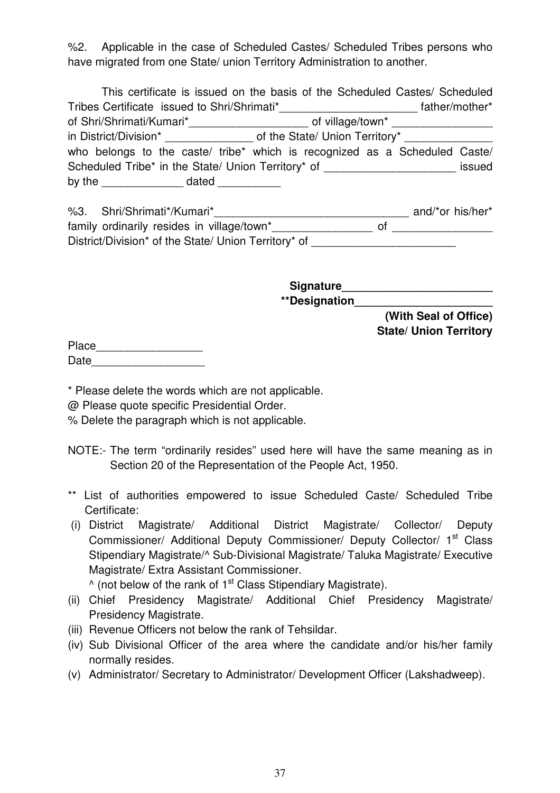%2. Applicable in the case of Scheduled Castes/ Scheduled Tribes persons who have migrated from one State/ union Territory Administration to another.

|                                                               | This certificate is issued on the basis of the Scheduled Castes/ Scheduled                           |        |  |  |  |  |
|---------------------------------------------------------------|------------------------------------------------------------------------------------------------------|--------|--|--|--|--|
| Tribes Certificate issued to Shri/Shrimati*<br>father/mother* |                                                                                                      |        |  |  |  |  |
|                                                               | of Shri/Shrimati/Kumari*___________________________ of village/town* ____________                    |        |  |  |  |  |
|                                                               | in District/Division* _______________________ of the State/ Union Territory* _______________________ |        |  |  |  |  |
|                                                               | who belongs to the caste/ tribe* which is recognized as a Scheduled Caste/                           |        |  |  |  |  |
|                                                               | Scheduled Tribe* in the State/ Union Territory* of _____________________________                     | issued |  |  |  |  |
|                                                               |                                                                                                      |        |  |  |  |  |

| %3. | Shri/Shrimati*/Kumari*                               | and/*or his/her* |
|-----|------------------------------------------------------|------------------|
|     | family ordinarily resides in village/town*           |                  |
|     | District/Division* of the State/ Union Territory* of |                  |

**Signature\_\_\_\_\_\_\_\_\_\_\_\_\_\_\_\_\_\_\_\_\_\_\_\_ \*\*Designation\_\_\_\_\_\_\_\_\_\_\_\_\_\_\_\_\_\_\_\_\_\_ (With Seal of Office)** 

**State/ Union Territory** 

Place **and the set of the set of the set of the set of the set of the set of the set of the set of the set of the set of the set of the set of the set of the set of the set of the set of the set of the set of the set of th** Date **Date** 

\* Please delete the words which are not applicable.

@ Please quote specific Presidential Order.

% Delete the paragraph which is not applicable.

- NOTE:- The term "ordinarily resides" used here will have the same meaning as in Section 20 of the Representation of the People Act, 1950.
- \*\* List of authorities empowered to issue Scheduled Caste/ Scheduled Tribe Certificate:
- (i) District Magistrate/ Additional District Magistrate/ Collector/ Deputy Commissioner/ Additional Deputy Commissioner/ Deputy Collector/ 1<sup>st</sup> Class Stipendiary Magistrate/^ Sub-Divisional Magistrate/ Taluka Magistrate/ Executive Magistrate/ Extra Assistant Commissioner.

 $\wedge$  (not below of the rank of 1<sup>st</sup> Class Stipendiary Magistrate).

- (ii) Chief Presidency Magistrate/ Additional Chief Presidency Magistrate/ Presidency Magistrate.
- (iii) Revenue Officers not below the rank of Tehsildar.
- (iv) Sub Divisional Officer of the area where the candidate and/or his/her family normally resides.
- (v) Administrator/ Secretary to Administrator/ Development Officer (Lakshadweep).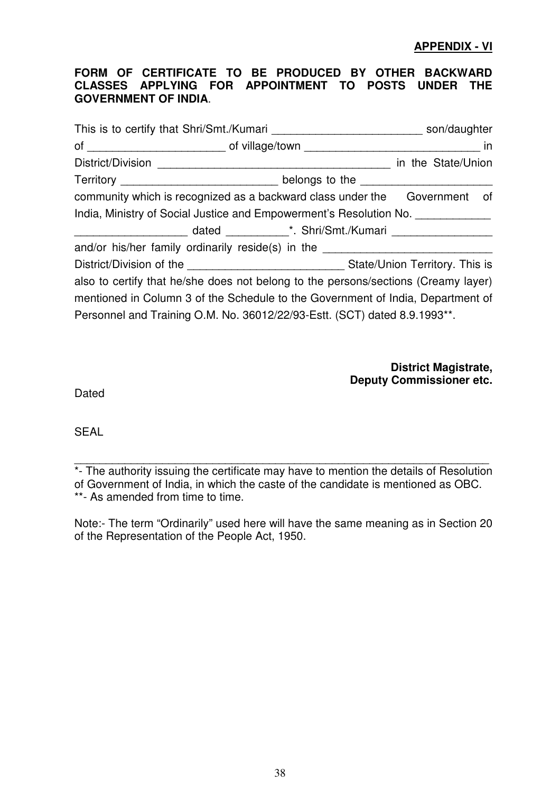#### **FORM OF CERTIFICATE TO BE PRODUCED BY OTHER BACKWARD CLASSES APPLYING FOR APPOINTMENT TO POSTS UNDER THE GOVERNMENT OF INDIA**.

|                                                                                    |  |  | son/daughter       |  |
|------------------------------------------------------------------------------------|--|--|--------------------|--|
|                                                                                    |  |  |                    |  |
| District/Division                                                                  |  |  | in the State/Union |  |
| Territory _____________________________ belongs to the ________________________    |  |  |                    |  |
| community which is recognized as a backward class under the Government of          |  |  |                    |  |
| India, Ministry of Social Justice and Empowerment's Resolution No. _____________   |  |  |                    |  |
|                                                                                    |  |  |                    |  |
| and/or his/her family ordinarily reside(s) in the ______________________________   |  |  |                    |  |
|                                                                                    |  |  |                    |  |
| also to certify that he/she does not belong to the persons/sections (Creamy layer) |  |  |                    |  |
| mentioned in Column 3 of the Schedule to the Government of India, Department of    |  |  |                    |  |
| Personnel and Training O.M. No. 36012/22/93-Estt. (SCT) dated 8.9.1993**.          |  |  |                    |  |

**District Magistrate, Deputy Commissioner etc.** 

Dated

SEAL

 $\overline{a_1}$  ,  $\overline{a_2}$  ,  $\overline{a_3}$  ,  $\overline{a_4}$  ,  $\overline{a_5}$  ,  $\overline{a_6}$  ,  $\overline{a_7}$  ,  $\overline{a_8}$  ,  $\overline{a_9}$  ,  $\overline{a_9}$  ,  $\overline{a_9}$  ,  $\overline{a_9}$  ,  $\overline{a_9}$  ,  $\overline{a_9}$  ,  $\overline{a_9}$  ,  $\overline{a_9}$  ,  $\overline{a_9}$  , \*- The authority issuing the certificate may have to mention the details of Resolution of Government of India, in which the caste of the candidate is mentioned as OBC. \*\*- As amended from time to time.

Note:- The term "Ordinarily" used here will have the same meaning as in Section 20 of the Representation of the People Act, 1950.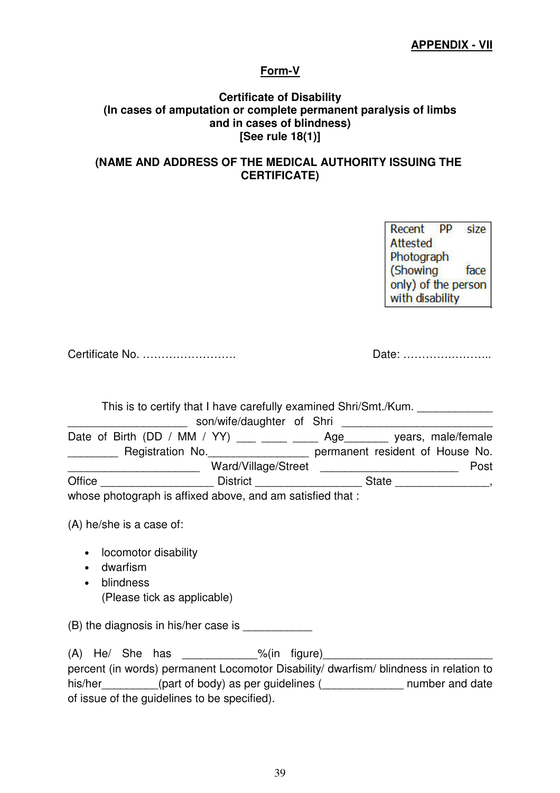## **Form-V**

#### **Certificate of Disability (In cases of amputation or complete permanent paralysis of limbs and in cases of blindness) [See rule 18(1)]**

## **(NAME AND ADDRESS OF THE MEDICAL AUTHORITY ISSUING THE CERTIFICATE)**

Recent PP size Attested Photograph (Showing face only) of the person with disability

Certificate No. ……………………. Date: ………….………..

This is to certify that I have carefully examined Shri/Smt./Kum.

|                                                                                                                                                                                                                                                                                                                                                                                                      | son/wife/daughter of Shri     |                                 |                    |      |
|------------------------------------------------------------------------------------------------------------------------------------------------------------------------------------------------------------------------------------------------------------------------------------------------------------------------------------------------------------------------------------------------------|-------------------------------|---------------------------------|--------------------|------|
| Date of Birth (DD / MM / YY) $\frac{1}{\sqrt{1-\frac{1}{2}}}\frac{1}{\sqrt{1-\frac{1}{2}}}\frac{1}{\sqrt{1-\frac{1}{2}}}\frac{1}{\sqrt{1-\frac{1}{2}}}\frac{1}{\sqrt{1-\frac{1}{2}}}\frac{1}{\sqrt{1-\frac{1}{2}}}\frac{1}{\sqrt{1-\frac{1}{2}}}\frac{1}{\sqrt{1-\frac{1}{2}}}\frac{1}{\sqrt{1-\frac{1}{2}}}\frac{1}{\sqrt{1-\frac{1}{2}}}\frac{1}{\sqrt{1-\frac{1}{2}}}\frac{1}{\sqrt{1-\frac{1}{2$ |                               | Age                             | years, male/female |      |
| Registration No.                                                                                                                                                                                                                                                                                                                                                                                     |                               | permanent resident of House No. |                    |      |
|                                                                                                                                                                                                                                                                                                                                                                                                      | Ward/Village/Street           |                                 |                    | Post |
| Office                                                                                                                                                                                                                                                                                                                                                                                               | <b>District Exercise 1999</b> | <b>State</b>                    |                    |      |
| whose nhotograph is affixed above and am satisfied that :                                                                                                                                                                                                                                                                                                                                            |                               |                                 |                    |      |

whose photograph is affixed above, and am satisfied that :

(A) he/she is a case of:

- locomotor disability
- dwarfism
- blindness (Please tick as applicable)

 $(B)$  the diagnosis in his/her case is

 $(A)$  He/ She has  $\%$ (in figure) percent (in words) permanent Locomotor Disability/ dwarfism/ blindness in relation to his/her\_\_\_\_\_\_\_\_\_(part of body) as per guidelines (\_\_\_\_\_\_\_\_\_\_\_\_\_\_\_ number and date of issue of the guidelines to be specified).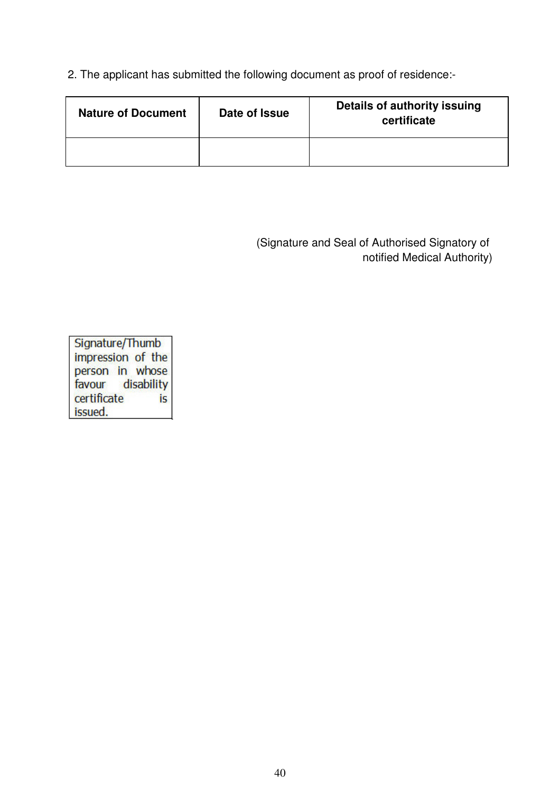2. The applicant has submitted the following document as proof of residence:-

| <b>Nature of Document</b> | Date of Issue | Details of authority issuing<br>certificate |
|---------------------------|---------------|---------------------------------------------|
|                           |               |                                             |

(Signature and Seal of Authorised Signatory of notified Medical Authority)

Signature/Thumb impression of the person in whose favour disability certificate **is** issued.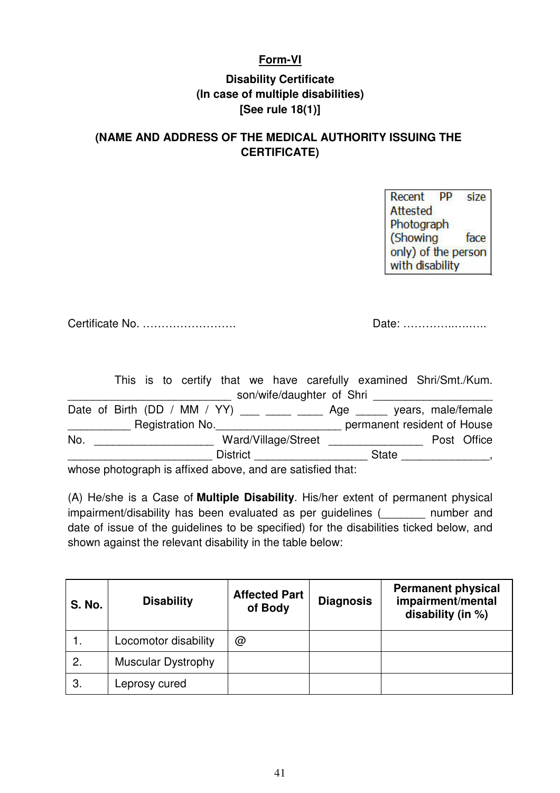# **Form-VI**

# **Disability Certificate (In case of multiple disabilities) [See rule 18(1)]**

# **(NAME AND ADDRESS OF THE MEDICAL AUTHORITY ISSUING THE CERTIFICATE)**

PP size Recent **Attested** Photograph (Showing face only) of the person with disability

Certificate No. ……………………. Date: …………..….…..

This is to certify that we have carefully examined Shri/Smt./Kum. \_\_\_\_\_\_\_\_\_\_\_\_\_\_\_\_\_\_\_\_\_\_\_ son/wife/daughter of Shri \_\_\_\_\_\_\_\_\_\_\_\_\_\_\_\_\_\_\_\_\_\_\_\_\_\_\_\_\_\_

Date of Birth (DD / MM / YY)  $\_\_\_\_\_\_\_\_\_\_\_\_$  Age  $\_\_\_\_\_$  years, male/female \_\_\_\_\_\_\_\_\_\_ Registration No.\_\_\_\_\_\_\_\_\_\_\_\_\_\_\_\_\_\_\_\_ permanent resident of House No. \_\_\_\_\_\_\_\_\_\_\_\_\_\_\_\_\_\_\_ Ward/Village/Street \_\_\_\_\_\_\_\_\_\_\_\_\_\_\_ Post Office dentity and the District term in the State of the District  $\sim$ 

whose photograph is affixed above, and are satisfied that:

(A) He/she is a Case of **Multiple Disability**. His/her extent of permanent physical impairment/disability has been evaluated as per guidelines (\_\_\_\_\_\_\_ number and date of issue of the guidelines to be specified) for the disabilities ticked below, and shown against the relevant disability in the table below:

| <b>S. No.</b> | <b>Disability</b>         | <b>Affected Part</b><br>of Body | <b>Diagnosis</b> | <b>Permanent physical</b><br>impairment/mental<br>disability (in %) |
|---------------|---------------------------|---------------------------------|------------------|---------------------------------------------------------------------|
|               | Locomotor disability      | @                               |                  |                                                                     |
| 2.            | <b>Muscular Dystrophy</b> |                                 |                  |                                                                     |
| 3.            | Leprosy cured             |                                 |                  |                                                                     |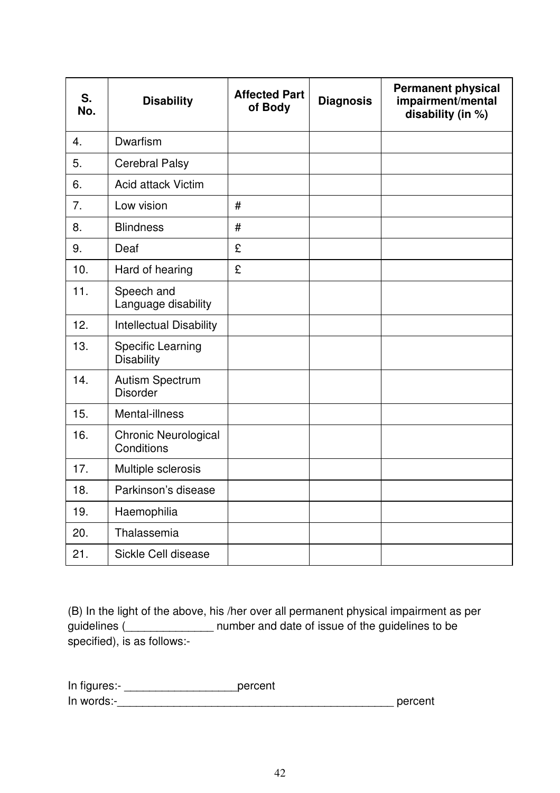| S.<br>No.        | <b>Disability</b>                             | <b>Affected Part</b><br>of Body | <b>Diagnosis</b> | <b>Permanent physical</b><br>impairment/mental<br>disability (in %) |
|------------------|-----------------------------------------------|---------------------------------|------------------|---------------------------------------------------------------------|
| $\overline{4}$ . | Dwarfism                                      |                                 |                  |                                                                     |
| 5.               | <b>Cerebral Palsy</b>                         |                                 |                  |                                                                     |
| 6.               | <b>Acid attack Victim</b>                     |                                 |                  |                                                                     |
| 7.               | Low vision                                    | #                               |                  |                                                                     |
| 8.               | <b>Blindness</b>                              | $\#$                            |                  |                                                                     |
| 9.               | Deaf                                          | £                               |                  |                                                                     |
| 10.              | Hard of hearing                               | £                               |                  |                                                                     |
| 11.              | Speech and<br>Language disability             |                                 |                  |                                                                     |
| 12.              | <b>Intellectual Disability</b>                |                                 |                  |                                                                     |
| 13.              | <b>Specific Learning</b><br><b>Disability</b> |                                 |                  |                                                                     |
| 14.              | <b>Autism Spectrum</b><br><b>Disorder</b>     |                                 |                  |                                                                     |
| 15.              | Mental-illness                                |                                 |                  |                                                                     |
| 16.              | <b>Chronic Neurological</b><br>Conditions     |                                 |                  |                                                                     |
| 17.              | Multiple sclerosis                            |                                 |                  |                                                                     |
| 18.              | Parkinson's disease                           |                                 |                  |                                                                     |
| 19.              | Haemophilia                                   |                                 |                  |                                                                     |
| 20.              | Thalassemia                                   |                                 |                  |                                                                     |
| 21.              | Sickle Cell disease                           |                                 |                  |                                                                     |

(B) In the light of the above, his /her over all permanent physical impairment as per guidelines (\_\_\_\_\_\_\_\_\_\_\_\_\_\_\_\_\_ number and date of issue of the guidelines to be specified), is as follows:-

| In figures:- | percent |
|--------------|---------|
| In words:-   | percent |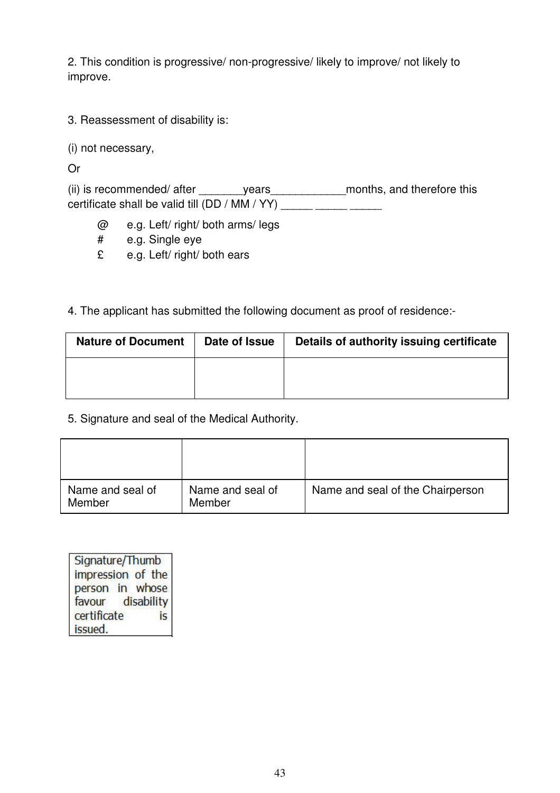2. This condition is progressive/ non-progressive/ likely to improve/ not likely to improve.

3. Reassessment of disability is:

(i) not necessary,

Or

(ii) is recommended/ after \_\_\_\_\_\_\_\_\_\_years\_\_\_\_\_\_\_\_\_\_\_\_\_\_\_\_\_months, and therefore this certificate shall be valid till (DD / MM / YY) \_\_\_\_\_ \_\_\_\_\_ \_\_\_\_\_

- @ e.g. Left/ right/ both arms/ legs
- # e.g. Single eye
- £ e.g. Left/ right/ both ears

# 4. The applicant has submitted the following document as proof of residence:-

| <b>Nature of Document</b> | Date of Issue | Details of authority issuing certificate |
|---------------------------|---------------|------------------------------------------|
|                           |               |                                          |
|                           |               |                                          |

5. Signature and seal of the Medical Authority.

| Name and seal of<br>Member | Name and seal of<br>Member | Name and seal of the Chairperson |
|----------------------------|----------------------------|----------------------------------|

Signature/Thumb impression of the person in whose favour disability certificate is. issued.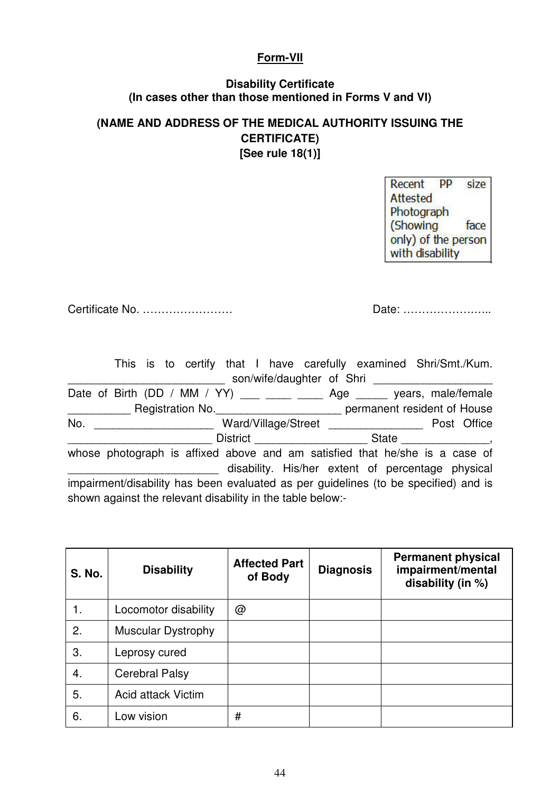### **Form-VII**

# **Disability Certificate (In cases other than those mentioned in Forms V and VI)**

# **(NAME AND ADDRESS OF THE MEDICAL AUTHORITY ISSUING THE CERTIFICATE) [See rule 18(1)]**

Recent PP size Attested Photograph (Showing face only) of the person with disability

Certificate No. …………………… Date: ……………….…..

|                                                                                 |  |                                                            |  |                           |  |  | This is to certify that I have carefully examined Shri/Smt./Kum.                    |
|---------------------------------------------------------------------------------|--|------------------------------------------------------------|--|---------------------------|--|--|-------------------------------------------------------------------------------------|
|                                                                                 |  |                                                            |  | son/wife/daughter of Shri |  |  |                                                                                     |
|                                                                                 |  |                                                            |  |                           |  |  | Date of Birth (DD / MM / YY) ___ ___ ___ Age ____ years, male/female                |
| $\mathcal{L}(\mathcal{L}(\mathcal{L}))$ . The set of $\mathcal{L}(\mathcal{L})$ |  |                                                            |  |                           |  |  | Registration No. ____________________________ permanent resident of House           |
| No.                                                                             |  |                                                            |  |                           |  |  | Post Office                                                                         |
|                                                                                 |  |                                                            |  |                           |  |  |                                                                                     |
|                                                                                 |  |                                                            |  |                           |  |  | whose photograph is affixed above and am satisfied that he/she is a case of         |
|                                                                                 |  |                                                            |  |                           |  |  | disability. His/her extent of percentage physical                                   |
|                                                                                 |  |                                                            |  |                           |  |  | impairment/disability has been evaluated as per guidelines (to be specified) and is |
|                                                                                 |  | shown against the relevant disability in the table below:- |  |                           |  |  |                                                                                     |

| <b>S. No.</b> | <b>Disability</b>         | <b>Affected Part</b><br>of Body | <b>Diagnosis</b> | <b>Permanent physical</b><br>impairment/mental<br>disability (in %) |
|---------------|---------------------------|---------------------------------|------------------|---------------------------------------------------------------------|
| 1.            | Locomotor disability      | @                               |                  |                                                                     |
| 2.            | <b>Muscular Dystrophy</b> |                                 |                  |                                                                     |
| 3.            | Leprosy cured             |                                 |                  |                                                                     |
| 4.            | <b>Cerebral Palsy</b>     |                                 |                  |                                                                     |
| 5.            | Acid attack Victim        |                                 |                  |                                                                     |
| 6.            | Low vision                | #                               |                  |                                                                     |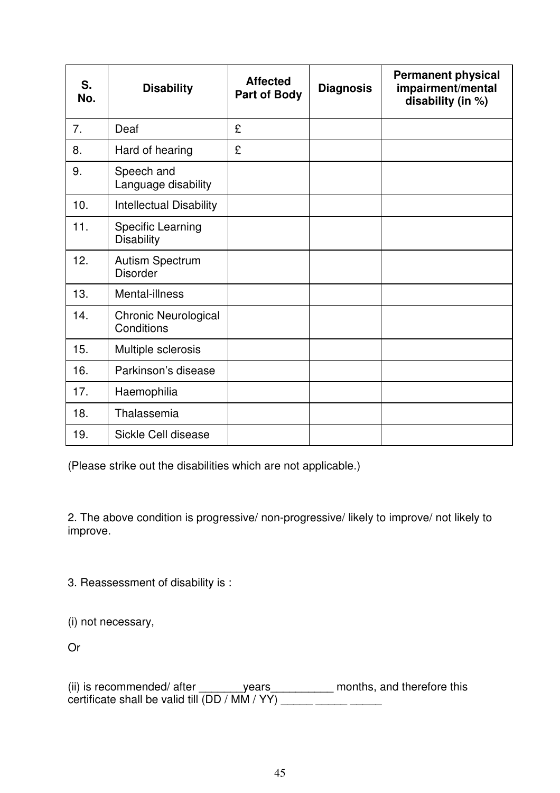| S.<br>No. | <b>Disability</b>                             | <b>Affected</b><br><b>Part of Body</b> | <b>Diagnosis</b> | <b>Permanent physical</b><br>impairment/mental<br>disability (in %) |
|-----------|-----------------------------------------------|----------------------------------------|------------------|---------------------------------------------------------------------|
| 7.        | Deaf                                          | £                                      |                  |                                                                     |
| 8.        | Hard of hearing                               | £                                      |                  |                                                                     |
| 9.        | Speech and<br>Language disability             |                                        |                  |                                                                     |
| 10.       | <b>Intellectual Disability</b>                |                                        |                  |                                                                     |
| 11.       | <b>Specific Learning</b><br><b>Disability</b> |                                        |                  |                                                                     |
| 12.       | <b>Autism Spectrum</b><br><b>Disorder</b>     |                                        |                  |                                                                     |
| 13.       | Mental-illness                                |                                        |                  |                                                                     |
| 14.       | Chronic Neurological<br>Conditions            |                                        |                  |                                                                     |
| 15.       | Multiple sclerosis                            |                                        |                  |                                                                     |
| 16.       | Parkinson's disease                           |                                        |                  |                                                                     |
| 17.       | Haemophilia                                   |                                        |                  |                                                                     |
| 18.       | Thalassemia                                   |                                        |                  |                                                                     |
| 19.       | Sickle Cell disease                           |                                        |                  |                                                                     |

(Please strike out the disabilities which are not applicable.)

2. The above condition is progressive/ non-progressive/ likely to improve/ not likely to improve.

3. Reassessment of disability is :

(i) not necessary,

Or

(ii) is recommended/ after \_\_\_\_\_\_\_years\_\_\_\_\_\_\_\_\_\_ months, and therefore this certificate shall be valid till (DD / MM / YY)  $\frac{1}{\frac{1}{1-\frac{1}{1-\frac{1}{1-\frac{1}{1-\frac{1}{1-\frac{1}{1-\frac{1}{1-\frac{1}{1-\frac{1}{1-\frac{1}{1-\frac{1}{1-\frac{1}{1-\frac{1}{1-\frac{1}{1-\frac{1}{1-\frac{1}{1-\frac{1}{1-\frac{1}{1-\frac{1}{1-\frac{1}{1-\frac{1}{1-\frac{1}{1-\frac{1}{1-\frac{1}{1-\frac{1}{1-\frac{1}{1-\frac{1}{1-\frac{1}{1$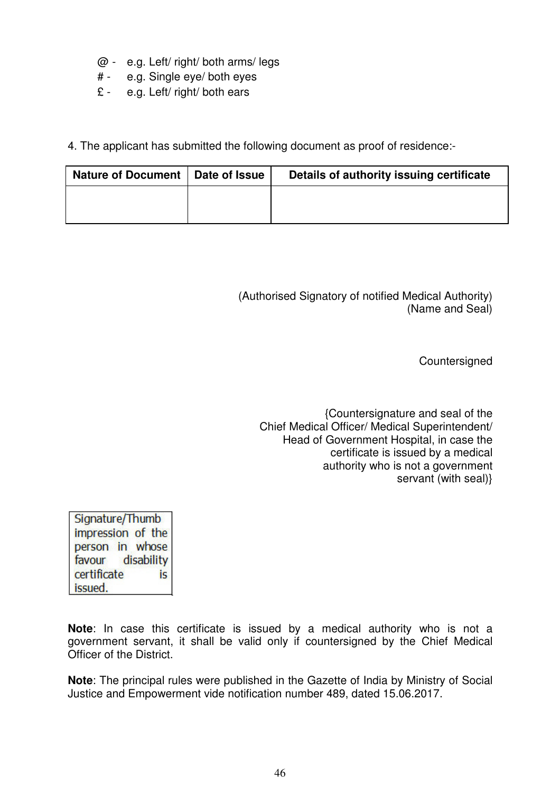- @ e.g. Left/ right/ both arms/ legs
- # e.g. Single eye/ both eyes
- £ e.g. Left/ right/ both ears
- 4. The applicant has submitted the following document as proof of residence:-

| Nature of Document   Date of Issue | Details of authority issuing certificate |
|------------------------------------|------------------------------------------|
|                                    |                                          |
|                                    |                                          |

(Authorised Signatory of notified Medical Authority) (Name and Seal)

**Countersigned** 

{Countersignature and seal of the Chief Medical Officer/ Medical Superintendent/ Head of Government Hospital, in case the certificate is issued by a medical authority who is not a government servant (with seal)}

Signature/Thumb impression of the person in whose favour disability certificate is issued.

**Note**: In case this certificate is issued by a medical authority who is not a government servant, it shall be valid only if countersigned by the Chief Medical Officer of the District.

**Note**: The principal rules were published in the Gazette of India by Ministry of Social Justice and Empowerment vide notification number 489, dated 15.06.2017.